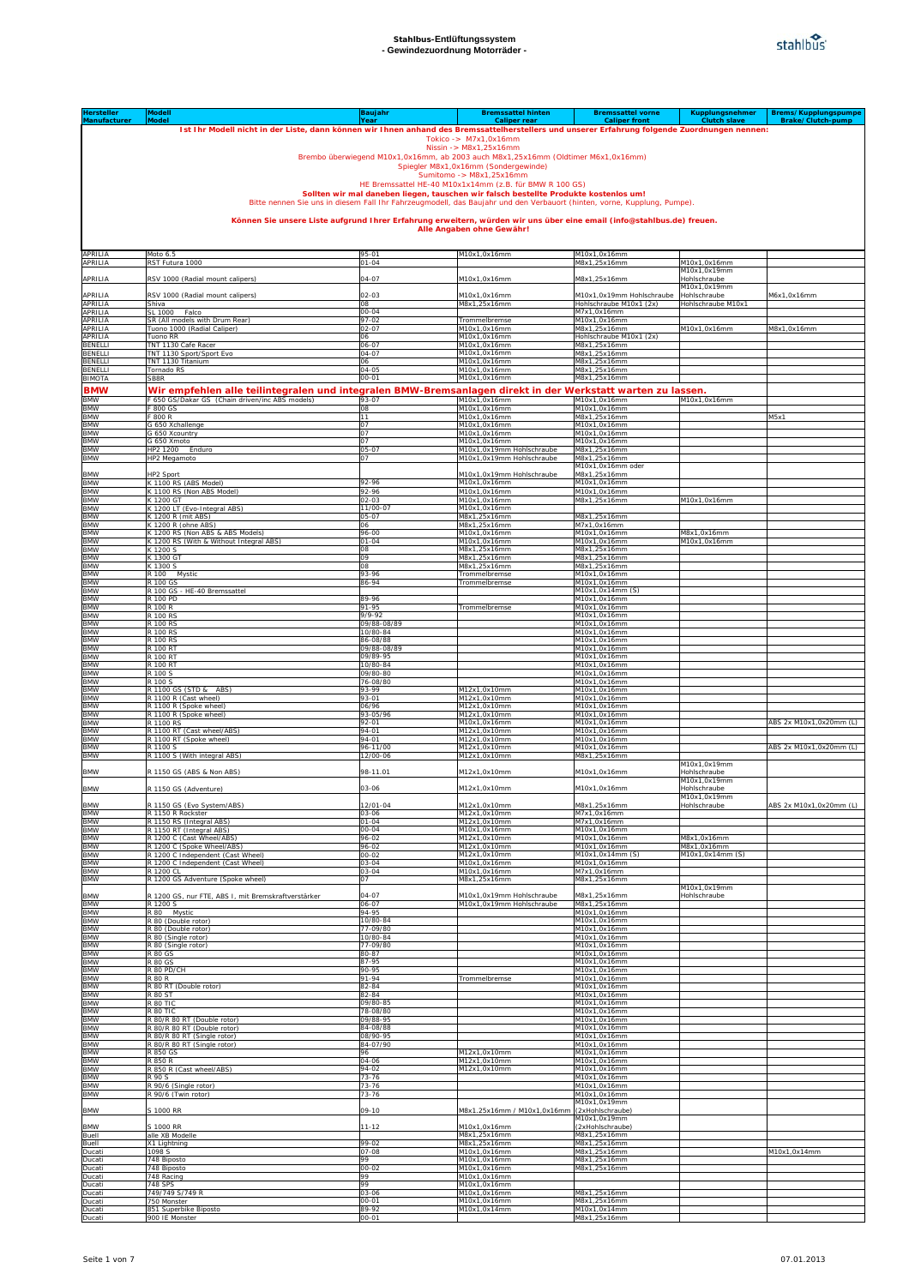| <b>Hersteller</b><br>Manufacturer                                                                                         | Modell<br><b>Model</b>                                                                                                                                                                                          | Baujahr<br>Year            | <b>Bremssattel hinten</b><br><b>Caliper rear</b>       | <b>Bremssattel vorne</b><br><b>Caliper front</b>     | <b>Kupplungsnehmer</b><br><b>Clutch slave</b> | Brems/Kupplungspumpe<br>Brake/Clutch-pump |  |  |  |  |
|---------------------------------------------------------------------------------------------------------------------------|-----------------------------------------------------------------------------------------------------------------------------------------------------------------------------------------------------------------|----------------------------|--------------------------------------------------------|------------------------------------------------------|-----------------------------------------------|-------------------------------------------|--|--|--|--|
|                                                                                                                           | Ist Ihr Modell nicht in der Liste, dann können wir Ihnen anhand des Bremssattelherstellers und unserer Erfahrung folgende Zuordnungen nennen:                                                                   |                            |                                                        |                                                      |                                               |                                           |  |  |  |  |
| Tokico -> M7x1,0x16mm<br>Nissin -> M8x1,25x16mm                                                                           |                                                                                                                                                                                                                 |                            |                                                        |                                                      |                                               |                                           |  |  |  |  |
| Brembo überwiegend M10x1,0x16mm, ab 2003 auch M8x1,25x16mm (Oldtimer M6x1,0x16mm)<br>Spiegler M8x1,0x16mm (Sondergewinde) |                                                                                                                                                                                                                 |                            |                                                        |                                                      |                                               |                                           |  |  |  |  |
|                                                                                                                           | Sumitomo -> M8x1,25x16mm<br>HE Bremssattel HE-40 M10x1x14mm (z.B. für BMW R 100 GS)                                                                                                                             |                            |                                                        |                                                      |                                               |                                           |  |  |  |  |
|                                                                                                                           | Sollten wir mal daneben liegen, tauschen wir falsch bestellte Produkte kostenlos um!<br>Bitte nennen Sie uns in diesem Fall Ihr Fahrzeugmodell, das Baujahr und den Verbauort (hinten, vorne, Kupplung, Pumpe). |                            |                                                        |                                                      |                                               |                                           |  |  |  |  |
|                                                                                                                           | Können Sie unsere Liste aufgrund Ihrer Erfahrung erweitern, würden wir uns über eine email (info@stahlbus.de) freuen.                                                                                           |                            |                                                        |                                                      |                                               |                                           |  |  |  |  |
|                                                                                                                           |                                                                                                                                                                                                                 |                            | Alle Angaben ohne Gewähr!                              |                                                      |                                               |                                           |  |  |  |  |
| APRILIA                                                                                                                   | Moto 6.5                                                                                                                                                                                                        | 95-01                      | M10x1,0x16mm                                           | M10x1,0x16mm                                         |                                               |                                           |  |  |  |  |
| APRILIA                                                                                                                   | RST Futura 1000                                                                                                                                                                                                 | $01 - 04$                  |                                                        | M8x1,25x16mm                                         | M10x1,0x16mm<br>M10x1,0x19mm                  |                                           |  |  |  |  |
| APRILIA                                                                                                                   | RSV 1000 (Radial mount calipers)                                                                                                                                                                                | 04-07                      | M10x1,0x16mm                                           | M8x1,25x16mm                                         | Hohlschraube<br>M10x1,0x19mm                  |                                           |  |  |  |  |
| APRILIA<br><b>APRILIA</b>                                                                                                 | RSV 1000 (Radial mount calipers)<br>Shiva                                                                                                                                                                       | $02 - 03$<br>80            | M10x1,0x16mm<br>M8x1,25x16mm                           | M10x1,0x19mm Hohlschraube<br>Hohlschraube M10x1 (2x) | Hohlschraube<br>Hohlschraube M10x1            | M6x1,0x16mm                               |  |  |  |  |
| APRILIA<br>APRILIA                                                                                                        | SL 1000<br>Falco<br>SR (All models with Drum Rear)                                                                                                                                                              | 00-04<br>97-02             | Trommelbremse                                          | M7x1,0x16mm<br>M10x1,0x16mm                          |                                               |                                           |  |  |  |  |
| APRILIA<br>APRILIA                                                                                                        | Tuono 1000 (Radial Caliper)<br>Tuono RR                                                                                                                                                                         | 02-07<br>06                | M10x1,0x16mm<br>M10x1,0x16mm                           | M8x1,25x16mm<br>Hohlschraube M10x1 (2x)              | M10x1,0x16mm                                  | M8x1,0x16mm                               |  |  |  |  |
| <b>BENELLI</b><br><b>BENELLI</b>                                                                                          | TNT 1130 Cafe Racer<br>TNT 1130 Sport/Sport Evo                                                                                                                                                                 | 06-07<br>04-07             | M10x1,0x16mm<br>M10x1,0x16mm                           | M8x1,25x16mm<br>M8x1,25x16mm                         |                                               |                                           |  |  |  |  |
| <b>BENELLI</b><br>BENELLI                                                                                                 | TNT 1130 Titanium<br>Tornado RS                                                                                                                                                                                 | 06<br>04-05                | M10x1,0x16mm<br>M10x1,0x16mm                           | M8x1,25x16mm<br>M8x1,25x16mm                         |                                               |                                           |  |  |  |  |
| <b>BIMOTA</b><br><b>BMW</b>                                                                                               | SB8R<br>Wir empfehlen alle teilintegralen und integralen BMW-Bremsanlagen direkt in der Werkstatt warten zu lassen.                                                                                             | 00-01                      | M10x1,0x16mm                                           | M8x1,25x16mm                                         |                                               |                                           |  |  |  |  |
| <b>BMW</b><br><b>BMW</b>                                                                                                  | 650 GS/Dakar GS (Chain driven/inc ABS models)<br>800 GS                                                                                                                                                         | 93-07<br>08                | M10x1,0x16mm<br>M10x1,0x16mm                           | M10x1,0x16mm<br>M10x1,0x16mm                         | M10x1,0x16mm                                  |                                           |  |  |  |  |
| <b>BMW</b><br><b>BMW</b>                                                                                                  | $-800R$<br>G 650 Xchallenge                                                                                                                                                                                     | 11<br>07                   | M10x1,0x16mm<br>M10x1,0x16mm                           | M8x1,25x16mm<br>M10x1,0x16mm                         |                                               | M5x1                                      |  |  |  |  |
| <b>BMW</b><br><b>BMW</b>                                                                                                  | G 650 Xcountry<br>G 650 Xmoto                                                                                                                                                                                   | 07<br>07                   | M10x1,0x16mm<br>M10x1,0x16mm                           | M10x1,0x16mm<br>M10x1,0x16mm                         |                                               |                                           |  |  |  |  |
| <b>BMW</b><br><b>BMW</b>                                                                                                  | HP2 1200 Enduro<br>HP2 Megamoto                                                                                                                                                                                 | 05-07<br>07                | M10x1,0x19mm Hohlschraube<br>M10x1.0x19mm Hohlschraube | M8x1,25x16mm<br>M8x1.25x16mm                         |                                               |                                           |  |  |  |  |
| <b>BMW</b>                                                                                                                | HP2 Sport                                                                                                                                                                                                       |                            | M10x1,0x19mm Hohlschraube                              | M10x1,0x16mm oder<br>M8x1,25x16mm                    |                                               |                                           |  |  |  |  |
| <b>BMW</b><br><b>BMW</b>                                                                                                  | K 1100 RS (ABS Model)<br>K 1100 RS (Non ABS Model)                                                                                                                                                              | 92-96<br>92-96             | M10x1,0x16mm<br>M10x1,0x16mm                           | M10x1,0x16mm<br>M10x1,0x16mm                         |                                               |                                           |  |  |  |  |
| <b>BMW</b><br><b>BMW</b>                                                                                                  | K 1200 GT<br>K 1200 LT (Evo-Integral ABS)                                                                                                                                                                       | $02 - 03$<br>11/00-07      | M10x1,0x16mm<br>M10x1,0x16mm                           | M8x1,25x16mm                                         | M10x1,0x16mm                                  |                                           |  |  |  |  |
| <b>BMW</b><br><b>BMW</b>                                                                                                  | K 1200 R (mit ABS)<br>K 1200 R (ohne ABS)                                                                                                                                                                       | 05-07<br>06                | M8x1,25x16mm<br>M8x1,25x16mm                           | M8x1,25x16mm<br>M7x1,0x16mm                          |                                               |                                           |  |  |  |  |
| <b>BMW</b><br><b>BMW</b>                                                                                                  | K 1200 RS (Non ABS & ABS Models)<br>K 1200 RS (With & Without Integral ABS)                                                                                                                                     | 96-00<br>$01 - 04$         | M10x1,0x16mm<br>M10x1,0x16mm                           | M10x1,0x16mm<br>M10x1,0x16mm                         | M8x1,0x16mm<br>M10x1,0x16mm                   |                                           |  |  |  |  |
| <b>BMW</b><br><b>BMW</b>                                                                                                  | K 1200 S<br>K 1300 GT                                                                                                                                                                                           | 80<br>09                   | M8x1,25x16mm<br>M8x1,25x16mm                           | M8x1,25x16mm<br>M8x1,25x16mm                         |                                               |                                           |  |  |  |  |
| <b>BMW</b><br><b>BMW</b>                                                                                                  | K 1300 S<br>R 100 Mystic                                                                                                                                                                                        | lo <sub>8</sub><br>93-96   | M8x1,25x16mm<br>Trommelbremse                          | M8x1, 25x16mm<br>M10x1,0x16mm                        |                                               |                                           |  |  |  |  |
| <b>BMW</b><br><b>BMW</b>                                                                                                  | R 100 GS<br>R 100 GS - HE-40 Bremssattel                                                                                                                                                                        | 86-94                      | Trommelbremse                                          | M10x1,0x16mm<br>M10x1,0x14mm (S)                     |                                               |                                           |  |  |  |  |
| <b>BMW</b><br><b>BMW</b>                                                                                                  | R 100 PD<br>R 100 R                                                                                                                                                                                             | 89-96<br>91-95             | Trommelbremse                                          | M10x1,0x16mm<br>M10x1,0x16mm                         |                                               |                                           |  |  |  |  |
| <b>BMW</b><br><b>BMW</b>                                                                                                  | R 100 RS<br>R 100 RS                                                                                                                                                                                            | 9/9-92<br>09/88-08/89      |                                                        | M10x1,0x16mm<br>M10x1,0x16mm                         |                                               |                                           |  |  |  |  |
| <b>BMW</b><br><b>BMW</b>                                                                                                  | R 100 RS<br>R 100 RS                                                                                                                                                                                            | 10/80-84<br>86-08/88       |                                                        | M10x1,0x16mm<br>M10x1,0x16mm                         |                                               |                                           |  |  |  |  |
| <b>BMW</b><br><b>BMW</b>                                                                                                  | R 100 RT<br>R 100 RT                                                                                                                                                                                            | 09/88-08/89<br>09/89-95    |                                                        | M10x1,0x16mm<br>M10x1,0x16mm                         |                                               |                                           |  |  |  |  |
| <b>BMW</b><br><b>BMW</b>                                                                                                  | R 100 RT<br>R 100 S                                                                                                                                                                                             | 10/80-84<br>09/80-80       |                                                        | M10x1,0x16mm<br>M10x1,0x16mm                         |                                               |                                           |  |  |  |  |
| <b>BMW</b><br><b>BMW</b><br><b>BMW</b>                                                                                    | R 100 S<br>R 1100 GS (STD & ABS)<br>R 1100 R (Cast wheel)                                                                                                                                                       | 76-08/80<br>93-99<br>93-01 | M12x1,0x10mm<br>M12x1,0x10mm                           | M10x1,0x16mm<br>M10x1,0x16mm<br>M10x1,0x16mm         |                                               |                                           |  |  |  |  |
| <b>BMW</b><br><b>BMW</b>                                                                                                  | R 1100 R (Spoke wheel)<br>R 1100 R (Spoke wheel)                                                                                                                                                                | 06/96<br>93-05/96          | M12x1,0x10mm<br>M12x1.0x10mm                           | M10x1,0x16mm<br>M10x1.0x16mm                         |                                               |                                           |  |  |  |  |
| <b>BMW</b><br><b>BMW</b>                                                                                                  | R 1100 RS<br>R 1100 RT (Cast wheel/ABS)                                                                                                                                                                         | 92-01<br>94-01             | M10x1,0x16mm<br>M12x1,0x10mm                           | M10x1,0x16mm<br>M10x1,0x16mm                         |                                               | ABS 2x M10x1,0x20mm (L)                   |  |  |  |  |
| <b>BMW</b><br><b>BMW</b>                                                                                                  | R 1100 RT (Spoke wheel)<br>R 1100 S                                                                                                                                                                             | 94-01<br>96-11/00          | M12x1,0x10mm<br>M12x1,0x10mm                           | M10x1,0x16mm<br>M10x1,0x16mm                         |                                               | ABS 2x M10x1,0x20mm (L)                   |  |  |  |  |
| <b>BMW</b>                                                                                                                | R 1100 S (With integral ABS)                                                                                                                                                                                    | 12/00-06                   | M12x1,0x10mm                                           | M8x1,25x16mm                                         | M10x1.0x19mm                                  |                                           |  |  |  |  |
| <b>BMW</b>                                                                                                                | R 1150 GS (ABS & Non ABS)                                                                                                                                                                                       | 98-11.01                   | M12x1,0x10mm                                           | M10x1,0x16mm                                         | Hohlschraube<br>M10x1,0x19mm                  |                                           |  |  |  |  |
| <b>BMW</b>                                                                                                                | R 1150 GS (Adventure)                                                                                                                                                                                           | 03-06                      | M12x1,0x10mm                                           | M10x1,0x16mm                                         | Hohlschraube<br>M10x1,0x19mm                  |                                           |  |  |  |  |
| <b>BMW</b><br><b>BMW</b>                                                                                                  | R 1150 GS (Evo System/ABS)<br>R 1150 R Rockster                                                                                                                                                                 | 2/01-04<br>03-06           | M12x1,0x10mm<br>M12x1,0x10mm                           | 08x1,25x16mm<br>M7x1,0x16mm                          | Hohlschraube                                  | ABS 2x M10x1,0x20mm (L)                   |  |  |  |  |
| <b>BMW</b><br><b>BMW</b>                                                                                                  | R 1150 RS (Integral ABS)<br>R 1150 RT (Integral ABS)                                                                                                                                                            | $01 - 04$<br>00-04         | M12x1,0x10mm<br>M10x1,0x16mm                           | M7x1,0x16mm<br>M10x1,0x16mm                          |                                               |                                           |  |  |  |  |
| <b>BMW</b><br><b>BMW</b>                                                                                                  | R 1200 C (Cast Wheel/ABS)<br>R 1200 C (Spoke Wheel/ABS)                                                                                                                                                         | 96-02<br>96-02             | M12x1,0x10mm<br>M12x1,0x10mm                           | M10x1,0x16mm<br>M10x1,0x16mm                         | M8x1,0x16mm<br>M8x1,0x16mm                    |                                           |  |  |  |  |
| <b>BMW</b><br><b>BMW</b>                                                                                                  | R 1200 C Independent (Cast Wheel)<br>R 1200 C Independent (Cast Wheel)                                                                                                                                          | $00 - 02$<br>03-04         | M12x1,0x10mm<br>M10x1,0x16mm                           | M10x1,0x14mm (S)<br>M10x1,0x16mm                     | M10x1,0x14mm (S)                              |                                           |  |  |  |  |
| <b>BMW</b><br><b>BMW</b>                                                                                                  | R 1200 CL<br>R 1200 GS Adventure (Spoke wheel)                                                                                                                                                                  | 03-04<br>07                | M10x1,0x16mm<br>M8x1,25x16mm                           | M7x1,0x16mm<br>M8x1,25x16mm                          |                                               |                                           |  |  |  |  |
| <b>BMW</b>                                                                                                                | R 1200 GS, nur FTE, ABS I, mit Bremskraftverstärker                                                                                                                                                             | $04 - 07$                  | M10x1,0x19mm Hohlschraube                              | M8x1,25x16mm                                         | M10x1,0x19mm<br>Hohlschraube                  |                                           |  |  |  |  |
| <b>BMW</b><br><b>BMW</b>                                                                                                  | R 1200 S<br>R 80 Mystic                                                                                                                                                                                         | 06-07<br>94-95             | M10x1,0x19mm Hohlschraube                              | M8x1,25x16mm<br>M10x1,0x16mm                         |                                               |                                           |  |  |  |  |
| <b>BMW</b><br><b>BMW</b>                                                                                                  | R 80 (Double rotor)<br>R 80 (Double rotor)                                                                                                                                                                      | 10/80-84<br>77-09/80       |                                                        | M10x1.0x16mm<br>M10x1,0x16mm                         |                                               |                                           |  |  |  |  |
| <b>BMW</b><br><b>BMW</b>                                                                                                  | R 80 (Single rotor)<br>R 80 (Single rotor)                                                                                                                                                                      | 10/80-84<br>77-09/80       |                                                        | M10x1,0x16mm<br>M10x1,0x16mm                         |                                               |                                           |  |  |  |  |
| <b>BMW</b><br><b>BMW</b><br><b>BMW</b>                                                                                    | R 80 GS<br><b>R 80 GS</b><br>R 80 PD/CH                                                                                                                                                                         | 80-87<br>87-95<br>90-95    |                                                        | M10x1,0x16mm<br>M10x1,0x16mm<br>M10x1,0x16mm         |                                               |                                           |  |  |  |  |
| <b>BMW</b><br><b>BMW</b>                                                                                                  | <b>R 80 R</b><br>R 80 RT (Double rotor)                                                                                                                                                                         | 91-94<br>82-84             | Trommelbremse                                          | M10x1,0x16mm<br>M10x1,0x16mm                         |                                               |                                           |  |  |  |  |
| <b>BMW</b><br><b>BMW</b>                                                                                                  | R 80 ST<br><b>R 80 TIC</b>                                                                                                                                                                                      | 82-84<br>09/80-85          |                                                        | M10x1,0x16mm<br>M10x1.0x16mm                         |                                               |                                           |  |  |  |  |
| <b>BMW</b><br><b>BMW</b>                                                                                                  | <b>R 80 TIC</b><br>R 80/R 80 RT (Double rotor)                                                                                                                                                                  | 78-08/80<br>09/88-95       |                                                        | M10x1,0x16mm<br>M10x1,0x16mm                         |                                               |                                           |  |  |  |  |
| <b>BMW</b><br><b>BMW</b>                                                                                                  | R 80/R 80 RT (Double rotor)<br>R 80/R 80 RT (Single rotor)                                                                                                                                                      | 84-08/88<br>08/90-95       |                                                        | M10x1,0x16mm<br>M10x1,0x16mm                         |                                               |                                           |  |  |  |  |
| <b>BMW</b><br><b>BMW</b>                                                                                                  | R 80/R 80 RT (Single rotor)<br>R 850 GS                                                                                                                                                                         | 84-07/90<br>96             | M12x1,0x10mm                                           | M10x1,0x16mm<br>M10x1,0x16mm                         |                                               |                                           |  |  |  |  |
| <b>BMW</b><br><b>BMW</b>                                                                                                  | R 850 R<br>R 850 R (Cast wheel/ABS)                                                                                                                                                                             | 04-06<br>94-02             | M12x1,0x10mm<br>M12x1,0x10mm                           | M10x1,0x16mm<br>M10x1,0x16mm                         |                                               |                                           |  |  |  |  |
| <b>BMW</b><br><b>BMW</b>                                                                                                  | R 90 S<br>R 90/6 (Single rotor)                                                                                                                                                                                 | 73-76<br>73-76             |                                                        | M10x1,0x16mm<br>M10x1,0x16mm                         |                                               |                                           |  |  |  |  |
| <b>BMW</b>                                                                                                                | R 90/6 (Twin rotor)                                                                                                                                                                                             | 73-76                      |                                                        | M10x1,0x16mm<br>M10x1,0x19mm                         |                                               |                                           |  |  |  |  |
| <b>BMW</b>                                                                                                                | S 1000 RR                                                                                                                                                                                                       | 09-10                      | M8x1.25x16mm / M10x1,0x16mm                            | (2xHohlschraube)<br>M10x1,0x19mm                     |                                               |                                           |  |  |  |  |
| <b>BMW</b><br>Buell                                                                                                       | S 1000 RR<br>alle XB Modelle                                                                                                                                                                                    | $11 - 12$                  | M10x1.0x16mm<br>M8x1,25x16mm                           | (2xHohlschraube)<br>M8x1,25x16mm                     |                                               |                                           |  |  |  |  |
| Buell<br>Ducat                                                                                                            | X1 Lightning<br>1098 S                                                                                                                                                                                          | 99-02<br>07-08             | M8x1,25x16mm<br>M10x1,0x16mm                           | M8x1,25x16mm<br>M8x1,25x16mm                         |                                               | M10x1,0x14mm                              |  |  |  |  |
| Ducati<br>Ducati                                                                                                          | 748 Biposto<br>748 Biposto                                                                                                                                                                                      | 99<br>$00 - 02$            | M10x1,0x16mm<br>M10x1,0x16mm                           | M8x1,25x16mm<br>M8x1,25x16mm                         |                                               |                                           |  |  |  |  |
| Ducati<br>Ducati                                                                                                          | 748 Racing<br>748 SPS                                                                                                                                                                                           | 99<br>99                   | M10x1,0x16mm<br>M10x1,0x16mm                           |                                                      |                                               |                                           |  |  |  |  |
| Ducati<br>Ducati                                                                                                          | 749/749 S/749 R<br>750 Monster                                                                                                                                                                                  | 03-06<br>$00 - 01$         | M10x1,0x16mm<br>M10x1,0x16mm                           | M8x1,25x16mm<br>M8x1,25x16mm                         |                                               |                                           |  |  |  |  |
| Ducati<br>Ducati                                                                                                          | 851 Superbike Biposto<br>900 IE Monster                                                                                                                                                                         | 89-92<br>$00 - 01$         | M10x1,0x14mm                                           | M10x1,0x14mm<br>M8x1,25x16mm                         |                                               |                                           |  |  |  |  |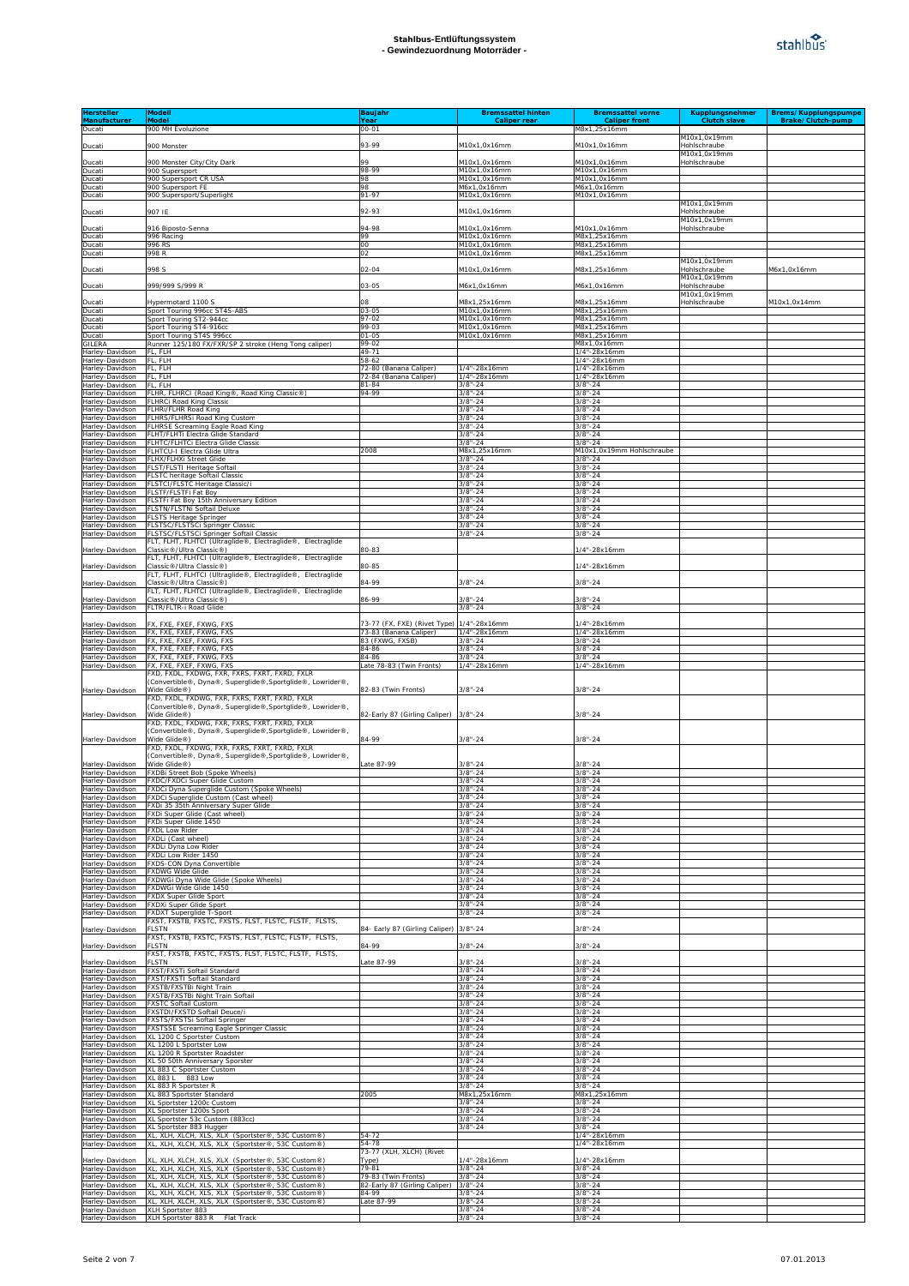| <b>Hersteller</b><br>Manufacturer                     | <b>Modell</b><br>Model                                                                                                                  | Baujahı<br>Year                                                           | <b>Bremssattel hinten</b><br><b>Caliper rear</b> | <b>Bremssattel vorne</b><br><b>Caliper front</b> | Kupplungsnehmer<br><b>Clutch slave</b>                       | Brems/Kupplungspumpe<br>Brake/Clutch-pump |
|-------------------------------------------------------|-----------------------------------------------------------------------------------------------------------------------------------------|---------------------------------------------------------------------------|--------------------------------------------------|--------------------------------------------------|--------------------------------------------------------------|-------------------------------------------|
| Ducati<br>Ducati                                      | 900 MH Evoluzione<br>900 Monster                                                                                                        | 00-01<br>93-99                                                            | M10x1,0x16mm                                     | M8x1,25x16mm<br>M10x1,0x16mm                     | M10x1,0x19mm<br>Hohlschraube                                 |                                           |
|                                                       | 900 Monster City/City Dark                                                                                                              | 99                                                                        | /10x1,0x16mm                                     | 010x1,0x16mm                                     | M10x1,0x19mm<br>Hohlschraube                                 |                                           |
| Ducati<br>Ducati<br>Ducati                            | 900 Supersport<br>900 Supersport CR USA                                                                                                 | 98-99<br>98                                                               | M10x1,0x16mm<br>410x1,0x16mm                     | M10x1,0x16mm<br>M10x1,0x16mm                     |                                                              |                                           |
| Ducati<br>Ducati                                      | 900 Supersport FE<br>900 Supersport/Superlight                                                                                          | 98<br>91-97                                                               | M6x1,0x16mm<br>M10x1,0x16mm                      | M6x1,0x16mm<br>M10x1,0x16mm                      | M10x1,0x19mm                                                 |                                           |
| Ducati                                                | 907 IE                                                                                                                                  | 92-93                                                                     | M10x1,0x16mm                                     |                                                  | Hohlschraube<br>M10x1.0x19mm                                 |                                           |
| Ducati<br>Ducati                                      | 916 Biposto-Senna<br>996 Racing                                                                                                         | 94-98<br>99                                                               | V10x1,0x16mm<br>M10x1,0x16mm                     | M10x1,0x16mm<br>M8x1,25x16mm                     | Hohlschraube                                                 |                                           |
| Ducati<br>Ducati                                      | 996 RS<br>998 R                                                                                                                         | 00<br>02                                                                  | M10x1,0x16mm<br>M10x1,0x16mm                     | M8x1,25x16mm<br>M8x1,25x16mm                     |                                                              |                                           |
| Ducati<br>Ducati                                      | 998 S<br>999/999 S/999 R                                                                                                                | 02-04<br>03-05                                                            | M10x1,0x16mm<br>M6x1,0x16mm                      | M8x1,25x16mm<br>M6x1,0x16mm                      | M10x1.0x19mm<br>Hohlschraube<br>M10x1,0x19mm<br>Hohlschraube | M6x1,0x16mm                               |
|                                                       | Hypermotard 1100 S                                                                                                                      | 30                                                                        | /8x1,25x16mm                                     | M8x1,25x16mm                                     | M10x1,0x19mm<br>Hohlschraube                                 | M10x1,0x14mm                              |
| Ducati<br>Ducati<br>Ducati                            | Sport Touring 996cc ST4S-ABS<br>Sport Touring ST2-944co                                                                                 | 03-05<br>97-02                                                            | M10x1,0x16mm<br>M10x1,0x16mm                     | M8x1,25x16mm<br>M8x1,25x16mm                     |                                                              |                                           |
| Ducati<br>Ducati                                      | Sport Touring ST4-916cc<br>Sport Touring ST4S 996cc                                                                                     | 99-03<br>01-05                                                            | M10x1,0x16mm<br>M10x1,0x16mm                     | M8x1,25x16mm<br>M8x1,25x16mm                     |                                                              |                                           |
| <b>GILERA</b><br>Harley-Davidson                      | Runner 125/180 FX/FXR/SP 2 stroke (Heng Tong caliper)<br>FL, FLH                                                                        | 99-02<br>49-71<br>58-62                                                   |                                                  | M8x1,0x16mm<br>1/4"-28x16mm                      |                                                              |                                           |
| Harley-Davidson<br>Harley-Davidson<br>Harley-Davidson | FL, FLH<br>FL, FLH<br>FL, FLH                                                                                                           | 72-80 (Banana Caliper)<br>72-84 (Banana Caliper)                          | 1/4"-28x16mm<br>1/4"-28x16mm                     | 1/4"-28x16mm<br>1/4"-28x16mm<br>1/4"-28x16mm     |                                                              |                                           |
| Harley-Davidson<br>Harley-Davidson                    | FL, FLH<br>FLHR, FLHRCI (Road King®, Road King Classic®)                                                                                | 81-84<br>94-99                                                            | $3/8 - 24$<br>$3/8 - 24$                         | $3/8 - 24$<br>$3/8 - 24$                         |                                                              |                                           |
| Harley-Davidson<br>Harley-Davidson                    | <b>FLHRCi Road King Classio</b><br>FLHRi/FLHR Road King                                                                                 |                                                                           | $3/8 - 24$<br>$3/8 - 24$                         | $3/8 - 24$<br>$3/8 - 24$                         |                                                              |                                           |
| Harley-Davidson<br>Harley-Davidson                    | FLHRS/FLHRSi Road King Custom<br>FLHRSE Screaming Eagle Road King                                                                       |                                                                           | 3/8"-24<br>$3/8 - 24$                            | 3/8"-24<br>$3/8 - 24$                            |                                                              |                                           |
| Harley-Davidson<br>Harley-Davidson                    | FLHT/FLHTi Electra Glide Standard<br>FLHTC/FLHTCi Electra Glide Classic                                                                 |                                                                           | $3/8 - 24$<br>$3/8 - 24$                         | $3/8 - 24$<br>$3/8 - 24$                         |                                                              |                                           |
| Harley-Davidson<br>Harley-Davidson<br>Harley-Davidson | FLHTCU-I Electra Glide Ultra<br>FLHX/FLHXi Street Glide                                                                                 | 2008                                                                      | M8x1,25x16mm<br>3/8"-24                          | M10x1,0x19mm Hohlschraube<br>3/8"-24             |                                                              |                                           |
| Harley-Davidson<br>Harley-Davidson                    | FLST/FLSTI Heritage Softail<br>FLSTC heritage Softail Classic<br>FLSTCI/FLSTC Heritage Classic/i                                        |                                                                           | $\frac{1}{3/8}$ - 24<br>$3/8 - 24$<br>$3/8 - 24$ | $3/8 - 24$<br>$3/8 - 24$<br>$3/8 - 24$           |                                                              |                                           |
| Harley-Davidson<br>Harley-Davidson                    | FLSTF/FLSTFi Fat Boy<br>FLSTFi Fat Boy 15th Anniversary Edition                                                                         |                                                                           | $3/8 - 24$<br>3/8"-24                            | $3/8 - 24$<br>3/8"-24                            |                                                              |                                           |
| Harley-Davidson<br>Harley-Davidson                    | FLSTN/FLSTNi Softail Deluxe<br>FLSTS Heritage Springer                                                                                  |                                                                           | $3/8 - 24$<br>$3/8 - 24$                         | $3/8 - 24$<br>$3/8 - 24$                         |                                                              |                                           |
| Harley-Davidson<br>Harley-Davidson                    | FLSTSC/FLSTSCi Springer Classic<br>FLSTSC/FLSTSCi Springer Softail Classic                                                              |                                                                           | $3/8 - 24$<br>$3/8 - 24$                         | $3/8 - 24$<br>$3/8 - 24$                         |                                                              |                                           |
| Harley-Davidson                                       | FLT, FLHT, FLHTCI (Ultraglide®, Electraglide®, Electraglide<br>Classic®/Ultra Classic®)                                                 | 80-83                                                                     |                                                  | 1/4"-28x16mm                                     |                                                              |                                           |
| Harley-Davidson                                       | FLT, FLHT, FLHTCI (Ultraglide®, Electraglide®, Electraglide<br>Classic®/Ultra Classic®)                                                 | 80-85                                                                     |                                                  | 1/4"-28x16mm                                     |                                                              |                                           |
| Harley-Davidson                                       | FLT, FLHT, FLHTCI (Ultraglide®, Electraglide®, Electraglide<br>Classic®/Ultra Classic®)                                                 | 84-99                                                                     | $3/8 - 24$                                       | $3/8 - 24$                                       |                                                              |                                           |
| Harley-Davidson                                       | FLT, FLHT, FLHTCI (Ultraglide®, Electraglide®, Electraglide<br>Classic®/Ultra Classic®)                                                 | 86-99                                                                     | $3/8 - 24$                                       | $3/8 - 24$                                       |                                                              |                                           |
| Harley-Davidson                                       | FLTR/FLTR-i Road Glide                                                                                                                  |                                                                           | $3/8 - 24$                                       | $3/8 - 24$                                       |                                                              |                                           |
| Harley-Davidson<br>Harley-Davidson<br>Harley-Davidson | FX, FXE, FXEF, FXWG, FXS<br>FX, FXE, FXEF, FXWG, FXS<br>FX, FXE, FXEF, FXWG, FXS                                                        | 73-77 (FX, FXE) (Rivet Type)<br>73-83 (Banana Caliper)<br>83 (FXWG, FXSB) | 1/4"-28x16mm<br>1/4"-28x16mm<br>$3/8 - 24$       | 1/4"-28x16mm<br>1/4"-28x16mm<br>$3/8 - 24$       |                                                              |                                           |
| Harley-Davidson<br>Harley-Davidson                    | FX, FXE, FXEF, FXWG, FXS<br>FX, FXE, FXEF, FXWG, FXS                                                                                    | 84-86<br>84-86                                                            | $3/8 - 24$<br>$3/8 - 24$                         | $3/8 - 24$<br>$3/8 - 24$                         |                                                              |                                           |
| Harley-Davidson                                       | FX, FXE, FXEF, FXWG, FXS<br>FXD, FXDL, FXDWG, FXR, FXRS, FXRT, FXRD, FXLR<br>(Convertible®, Dyna®, Superglide®,Sportglide®, Lowrider®,  | Late 78-83 (Twin Fronts)                                                  | 1/4"-28x16mm                                     | 1/4"-28x16mm                                     |                                                              |                                           |
| Harley-Davidson                                       | Wide Glide®)<br>FXD, FXDL, FXDWG, FXR, FXRS, FXRT, FXRD, FXLR                                                                           | 82-83 (Twin Fronts)                                                       | $3/8 - 24$                                       | 3/8"-24                                          |                                                              |                                           |
| Harley-Davidson                                       | (Convertible®, Dyna®, Superglide®,Sportglide®, Lowrider®,<br>Wide Glide <sup>®</sup> )<br>FXD, FXDL, FXDWG, FXR, FXRS, FXRT, FXRD, FXLR | 82-Early 87 (Girling Caliper)                                             | $3/8 - 24$                                       | $3/8 - 24$                                       |                                                              |                                           |
| Harley-Davidson                                       | (Convertible®, Dyna®, Superglide®,Sportglide®, Lowrider®,<br>Wide Glide®)<br>FXD, FXDL, FXDWG, FXR, FXRS, FXRT, FXRD, FXLR              | 84-99                                                                     | $3/8 - 24$                                       | $3/8 - 24$                                       |                                                              |                                           |
| Harley-Davidson                                       | (Convertible®, Dyna®, Superglide®,Sportglide®, Lowrider®,<br>Wide Glide®)                                                               | ate 87-99                                                                 | $3/8 - 24$                                       | $3/8 - 24$                                       |                                                              |                                           |
| Harley-Davidson<br>Harley-Davidson                    | FXDBi Street Bob (Spoke Wheels)<br>FXDC/FXDCi Super Glide Custom                                                                        |                                                                           | $3/8 - 24$<br>$3/8 - 24$                         | $3/8 - 24$<br>$3/8 - 24$                         |                                                              |                                           |
| Harley-Davidson                                       | FXDCi Dyna Superglide Custom (Spoke Wheels)<br>Harley-Davidson FXDCi Superglide Custom (Cast wheel)                                     |                                                                           | $3/8 - 24$<br>$3/8 - 24$                         | 3/8"-24<br>$3/8 - 24$                            |                                                              |                                           |
| Harley-Davidson<br>Harley-Davidson<br>Harley-Davidson | FXDi 35 35th Anniversary Super Glide<br>FXDi Super Glide (Cast wheel)<br>FXDi Super Glide 1450                                          |                                                                           | $3/8 - 24$<br>$3/8 - 24$<br>$3/8 - 24$           | $3/8 - 24$<br>$3/8 - 24$                         |                                                              |                                           |
| Harley-Davidson<br>Harley-Davidson                    | FXDL Low Rider<br>FXDLi (Cast wheel)                                                                                                    |                                                                           | $3/8 - 24$<br>$3/8 - 24$                         | $3/8 - 24$<br>$3/8 - 24$<br>$3/8 - 24$           |                                                              |                                           |
| Harley-Davidson<br>Harley-Davidson                    | FXDLi Dyna Low Rider<br>FXDLi Low Rider 1450                                                                                            |                                                                           | $3/8 - 24$<br>$3/8 - 24$                         | $3/8 - 24$<br>$3/8 - 24$                         |                                                              |                                           |
| Harley-Davidson<br>Harley-Davidson                    | FXDS-CON Dyna Convertible<br><b>FXDWG Wide Glide</b>                                                                                    |                                                                           | $3/8 - 24$<br>$3/8 - 24$                         | $3/8 - 24$<br>$3/8 - 24$                         |                                                              |                                           |
| Harley-Davidson<br>Harley-Davidson                    | FXDWGi Dyna Wide Glide (Spoke Wheels)<br>FXDWGi Wide Glide 1450                                                                         |                                                                           | $3/8 - 24$<br>$3/8 - 24$                         | $3/8 - 24$<br>$3/8 - 24$                         |                                                              |                                           |
| Harley-Davidson<br>Harley-Davidson                    | FXDX Super Glide Sport<br>FXDXi Super Glide Sport                                                                                       |                                                                           | $3/8 - 24$<br>$3/8 - 24$                         | $3/8 - 24$<br>$3/8 - 24$                         |                                                              |                                           |
| Harley-Davidson<br>Harley-Davidson                    | FXDXT Superglide T-Sport<br>FXST, FXSTB, FXSTC, FXSTS, FLST, FLSTC, FLSTF, FLSTS,<br>FLSTN                                              | 84- Early 87 (Girling Caliper) 3/8"-24                                    | $3/8 - 24$                                       | $3/8 - 24$<br>$3/8 - 24$                         |                                                              |                                           |
| Harley-Davidson                                       | FXST, FXSTB, FXSTC, FXSTS, FLST, FLSTC, FLSTF, FLSTS,<br><b>FLSTN</b>                                                                   | 84-99                                                                     | $3/8 - 24$                                       | $3/8 - 24$                                       |                                                              |                                           |
| Harley-Davidson                                       | FXST, FXSTB, FXSTC, FXSTS, FLST, FLSTC, FLSTF, FLSTS,<br><b>FLSTN</b>                                                                   | Late 87-99                                                                | $3/8 - 24$                                       | $3/8 - 24$                                       |                                                              |                                           |
| Harley-Davidson<br>Harley-Davidson<br>Harley-Davidson | FXST/FXSTi Softail Standard<br>FXST/FXSTI Softail Standard<br>FXSTB/FXSTBi Night Train                                                  |                                                                           | $3/8 - 24$<br>$3/8 - 24$<br>$3/8 - 24$           | $3/8 - 24$<br>$3/8 - 24$<br>$3/8 - 24$           |                                                              |                                           |
| Harley-Davidson<br>Harley-Davidson<br>Harley-Davidson | FXSTB/FXSTBi Night Train Softail<br><b>FXSTC Softail Custom</b><br>FXSTDI/FXSTD Softail Deuce/i                                         |                                                                           | $3/8 - 24$<br>$3/8 - 24$<br>$3/8 - 24$           | $3/8 - 24$<br>$3/8 - 24$<br>$3/8 - 24$           |                                                              |                                           |
| Harley-Davidson<br>Harley-Davidson                    | FXSTS/FXSTSi Softail Springer<br>FXSTSSE Screaming Eagle Springer Classic                                                               |                                                                           | $3/8 - 24$<br>$3/8 - 24$                         | $3/8 - 24$<br>$3/8 - 24$                         |                                                              |                                           |
| Harley-Davidson<br>Harley-Davidson                    | XL 1200 C Sportster Custom<br>XL 1200 L Sportster Low                                                                                   |                                                                           | $3/8 - 24$<br>$3/8 - 24$                         | $3/8 - 24$<br>$3/8 - 24$                         |                                                              |                                           |
| Harley-Davidson<br>Harley-Davidson                    | XL 1200 R Sportster Roadster<br>XL 50 50th Anniversary Sporster                                                                         |                                                                           | $3/8 - 24$<br>$3/8 - 24$                         | $3/8 - 24$<br>$3/8 - 24$                         |                                                              |                                           |
| Harley-Davidson<br>Harley-Davidson                    | XL 883 C Sportster Custom<br>XL 883 L 883 Low                                                                                           |                                                                           | $3/8 - 24$<br>$3/8 - 24$                         | $3/8 - 24$<br>$3/8 - 24$                         |                                                              |                                           |
| Harley-Davidson<br>Harley-Davidson                    | XL 883 R Sportster R<br>XL 883 Sportster Standard                                                                                       | 2005                                                                      | $3/8 - 24$<br>M8x1,25x16mm                       | $3/8 - 24$<br>M8x1,25x16mm                       |                                                              |                                           |
| Harley-Davidson<br>Harley-Davidson                    | XL Sportster 1200c Custom<br>XL Sportster 1200s Sport                                                                                   |                                                                           | $3/8 - 24$<br>$3/8 - 24$                         | $3/8 - 24$<br>$3/8 - 24$                         |                                                              |                                           |
| Harley-Davidson<br>Harley-Davidson                    | XL Sportster 53c Custom (883cc)<br>XL Sportster 883 Hugger                                                                              |                                                                           | $3/8 - 24$<br>$3/8 - 24$                         | $3/8 - 24$<br>$3/8 - 24$                         |                                                              |                                           |
| Harley-Davidson<br>Harley-Davidson                    | XL, XLH, XLCH, XLS, XLX (Sportster®, 53C Custom®)<br>XL, XLH, XLCH, XLS, XLX (Sportster®, 53C Custom®)                                  | 54-72<br>54-78<br>73-77 (XLH, XLCH) (Rivet                                |                                                  | 1/4"-28x16mm<br>1/4"-28x16mm                     |                                                              |                                           |
| Harley-Davidson                                       | XL, XLH, XLCH, XLS, XLX (Sportster®, 53C Custom®)<br>Harley-Davidson   XL, XLH, XLCH, XLS, XLX (Sportster®, 53C Custom®)                | Type)<br>79-81                                                            | 1/4"-28x16mm<br>$3/8 - 24$                       | 1/4"-28x16mm<br>$3/8 - 24$                       |                                                              |                                           |
| Harley-Davidson<br>Harley-Davidson                    | XL, XLH, XLCH, XLS, XLX (Sportster®, 53C Custom®)<br>XL, XLH, XLCH, XLS, XLX (Sportster®, 53C Custom®)                                  | 79-83 (Twin Fronts)<br>82-Early 87 (Girling Caliper)                      | $3/8 - 24$<br>$3/8 - 24$                         | $3/8 - 24$<br>$3/8 - 24$                         |                                                              |                                           |
| Harley-Davidson<br>Harley-Davidson                    | XL, XLH, XLCH, XLS, XLX (Sportster®, 53C Custom®)<br>XL, XLH, XLCH, XLS, XLX (Sportster®, 53C Custom®)                                  | 84-99<br>Late 87-99                                                       | $3/8 - 24$<br>$3/8 - 24$                         | $3/8 - 24$<br>$3/8 - 24$                         |                                                              |                                           |
| Harley-Davidson XLH Sportster 883                     | Harley-Davidson XLH Sportster 883 R Flat Track                                                                                          |                                                                           | $3/8 - 24$<br>$3/8 - 24$                         | $3/8 - 24$<br>$3/8 - 24$                         |                                                              |                                           |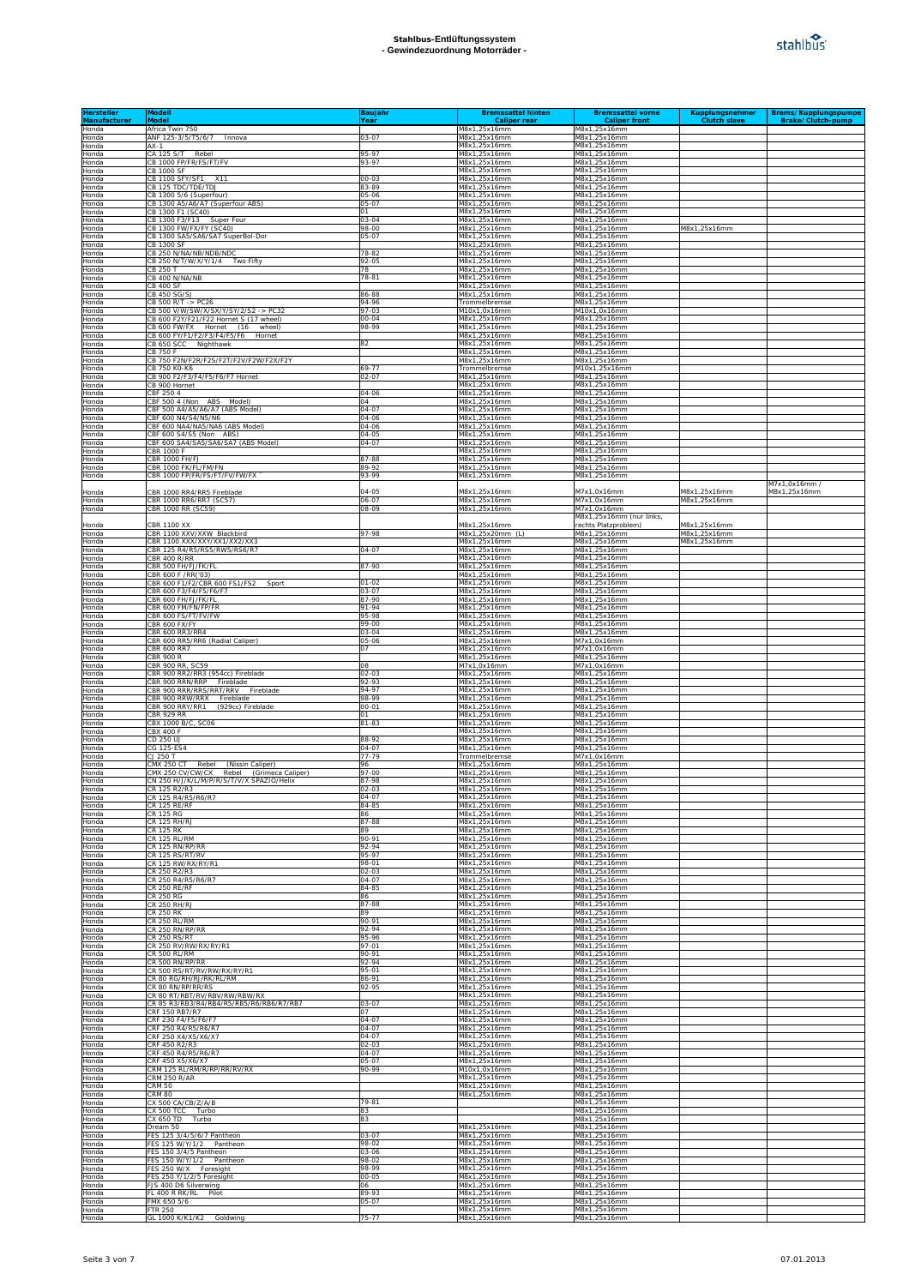

| Hersteller<br>Manufacturer | <b>Modell</b><br><b>Model</b>                                                                                              | Baujahr<br>Year             | <b>Bremssattel hinten</b><br><b>Caliper rear</b> | <b>Bremssattel vorne</b><br><b>Caliper front</b>                | Kupplungsnehmer<br><b>Clutch slave</b> | Brems/Kupplungspumpe<br>Brake/Clutch-pump |
|----------------------------|----------------------------------------------------------------------------------------------------------------------------|-----------------------------|--------------------------------------------------|-----------------------------------------------------------------|----------------------------------------|-------------------------------------------|
| Honda<br>Honda             | Africa Twin 750<br>ANF 125-3/5/T5/6/7 Innova                                                                               | 03-07                       | M8x1,25x16mm<br>M8x1,25x16mm                     | M8x1,25x16mm<br>M8x1,25x16mm                                    |                                        |                                           |
| Honda<br>Honda             | $AX-1$<br>CA 125 S/T Rebel                                                                                                 | 95-97                       | M8x1,25x16mm<br>M8x1,25x16mm                     | M8x1,25x16mm<br>M8x1,25x16mm                                    |                                        |                                           |
| Honda<br>Honda             | CB 1000 FP/FR/FS/FT/FV<br>CB 1000 SF                                                                                       | 93-97                       | M8x1,25x16mm<br>M8x1,25x16mm                     | M8x1,25x16mm<br>M8x1,25x16mm                                    |                                        |                                           |
| Honda<br>Honda<br>Honda    | CB 1100 SFY/SF1<br>X11<br>CB 125 TDC/TDE/TDJ<br>CB 1300 5/6 (Superfour)                                                    | 00-03<br>83-89<br>05-06     | M8x1,25x16mm<br>M8x1,25x16mm<br>M8x1,25x16mm     | M8x1,25x16mm<br>M8x1,25x16mm<br>M8x1,25x16mm                    |                                        |                                           |
| Honda<br>Honda             | CB 1300 A5/A6/A7 (Superfour ABS)<br>CB 1300 F1 (SC40)                                                                      | 05-07<br>01                 | M8x1,25x16mm<br>M8x1,25x16mm                     | M8x1,25x16mm<br>M8x1,25x16mm                                    |                                        |                                           |
| Honda<br>Honda<br>Honda    | CB 1300 F3/F13 Super Four<br>CB 1300 FW/FX/FY (SC40)<br>CB 1300 SA5/SA6/SA7 SuperBol-Dor                                   | 03-04<br>98-00<br>05-07     | M8x1,25x16mm<br>M8x1,25x16mm<br>M8x1,25x16mm     | M8x1,25x16mm<br>M8x1,25x16mm<br>M8x1,25x16mm                    | M8x1,25x16mm                           |                                           |
| Honda<br>Honda             | CB 1300 SF<br>CB 250 N/NA/NB/NDB/NDC                                                                                       | 78-82                       | M8x1,25x16mm<br>M8x1,25x16mm                     | M8x1,25x16mm<br>M8x1,25x16mm                                    |                                        |                                           |
| Honda<br>Honda             | CB 250 N/T/W/X/Y/1/4 Two Fifty<br>CB 250 T                                                                                 | 92-05<br>78                 | M8x1,25x16mm<br>M8x1,25x16mm                     | M8x1,25x16mm<br>M8x1,25x16mm                                    |                                        |                                           |
| Honda<br>Honda             | CB 400 N/NA/NB<br><b>CB 400 SF</b>                                                                                         | 78-81                       | M8x1,25x16mm<br>M8x1,25x16mm                     | M8x1,25x16mm<br>M8x1,25x16mm                                    |                                        |                                           |
| Honda<br>Honda             | CB 450 SG/SJ<br>CB 500 R/T -> PC26                                                                                         | 86-88<br>94-96              | M8x1,25x16mm<br>Trommelbremse                    | M8x1,25x16mm<br>M8x1,25x16mm                                    |                                        |                                           |
| Honda<br>Honda<br>Honda    | CB 500 V/W/SW/X/SX/Y/SY/2/S2 -> PC32<br>CB 600 F2Y/F21/F22 Hornet S (17 wheel)<br>CB 600 FW/FX Hornet (16 wheel)           | 97-03<br>00-04<br>98-99     | M10x1.0x16mm<br>M8x1,25x16mm<br>M8x1,25x16mm     | M10x1.0x16mm<br>M8x1,25x16mm<br>M8x1,25x16mm                    |                                        |                                           |
| Honda<br>Honda             | CB 600 FY/F1/F2/F3/F4/F5/F6<br>Hornet<br>CB 650 SCC Nighthawk                                                              | 82                          | M8x1,25x16mm<br>M8x1,25x16mm                     | M8x1,25x16mm<br>M8x1,25x16mm                                    |                                        |                                           |
| Honda<br>Honda             | CB 750 F<br>CB 750 F2N/F2R/F2S/F2T/F2V/F2W/F2X/F2Y                                                                         |                             | M8x1,25x16mm<br>M8x1,25x16mm                     | M8x1,25x16mm<br>M8x1,25x16mm                                    |                                        |                                           |
| Honda<br>Honda             | CB 750 KO-K6<br>CB 900 F2/F3/F4/F5/F6/F7 Hornet                                                                            | 69-77<br>$02 - 07$          | Trommelbremse<br>M8x1,25x16mm                    | M10x1,25x16mm<br>M8x1,25x16mm                                   |                                        |                                           |
| Honda<br>Honda             | CB 900 Hornet<br>CBF 250 4                                                                                                 | 04-06                       | M8x1,25x16mm<br>M8x1,25x16mm                     | M8x1,25x16mm<br>M8x1.25x16mm                                    |                                        |                                           |
| Honda<br>Honda<br>Honda    | CBF 500 4 (Non ABS Model)<br>CBF 500 A4/A5/A6/A7 (ABS Model)<br>CBF 600 N4/S4/N5/N6                                        | 04<br>$04 - 07$<br>04-06    | M8x1,25x16mm<br>M8x1,25x16mm<br>M8x1,25x16mm     | M8x1,25x16mm<br>M8x1,25x16mm<br>M8x1,25x16mm                    |                                        |                                           |
| Honda<br>Honda             | CBF 600 NA4/NA5/NA6 (ABS Model)<br>CBF 600 S4/S5 (Non ABS)                                                                 | 04-06<br>04-05              | M8x1,25x16mm<br>M8x1,25x16mm                     | M8x1,25x16mm<br>M8x1,25x16mm                                    |                                        |                                           |
| Honda<br>Honda             | CBF 600 SA4/SA5/SA6/SA7 (ABS Model)<br>CBR 1000 F                                                                          | 04-07                       | M8x1,25x16mm<br>M8x1,25x16mm                     | M8x1,25x16mm<br>M8x1,25x16mm                                    |                                        |                                           |
| Honda<br>Honda             | CBR 1000 FH/FJ<br>CBR 1000 FK/FL/FM/FN                                                                                     | 87-88<br>89-92              | M8x1,25x16mm<br>M8x1,25x16mm                     | M8x1,25x16mm<br>M8x1,25x16mm                                    |                                        |                                           |
| Honda                      | CBR 1000 FP/FR/FS/FT/FV/FW/FX                                                                                              | 93-99                       | M8x1,25x16mm                                     | M8x1,25x16mm                                                    |                                        | M7x1,0x16mm /                             |
| Honda<br>Honda             | CBR 1000 RR4/RR5 Fireblade<br>CBR 1000 RR6/RR7 (SC57)<br>CBR 1000 RR (SC59)                                                | 04-05<br>06-07              | M8x1,25x16mm<br>M8x1,25x16mm                     | M7x1,0x16mm<br>M7x1,0x16mm                                      | M8x1,25x16mm<br>M8x1,25x16mm           | M8x1,25x16mm                              |
| Honda<br>Honda             | CBR 1100 XX                                                                                                                | 08-09                       | M8x1,25x16mm<br>08x1,25x16mm                     | M7x1,0x16mm<br>M8x1,25x16mm (nur links,<br>rechts Platzproblem) | 08x1,25x16mm                           |                                           |
| Honda<br>Honda             | CBR 1100 XXV/XXW Blackbird<br>CBR 1100 XXX/XXY/XX1/XX2/XX3                                                                 | 97-98                       | M8x1,25x20mm (L)<br>M8x1,25x16mm                 | M8x1,25x16mm<br>M8x1,25x16mm                                    | M8x1,25x16mm<br>M8x1,25x16mm           |                                           |
| Honda<br>Honda             | CBR 125 R4/R5/RS5/RW5/RS6/R7<br><b>CBR 400 R/RR</b>                                                                        | 04-07                       | M8x1,25x16mm<br>M8x1,25x16mm                     | M8x1,25x16mm<br>M8x1,25x16mm                                    |                                        |                                           |
| Honda<br>Honda             | CBR 500 FH/FJ/FK/FL<br>CBR 600 F /RR('03)                                                                                  | 87-90                       | M8x1,25x16mm<br>M8x1,25x16mm                     | M8x1,25x16mm<br>M8x1,25x16mm                                    |                                        |                                           |
| Honda<br>Honda             | CBR 600 F1/F2/CBR 600 FS1/FS2 Sport<br>CBR 600 F3/F4/F5/F6/F7                                                              | $01 - 02$<br>03-07          | M8x1,25x16mm<br>M8x1,25x16mm                     | M8x1,25x16mm<br>M8x1,25x16mm                                    |                                        |                                           |
| Honda<br>Honda<br>Honda    | CBR 600 FH/FJ/FK/FL<br>CBR 600 FM/FN/FP/FR<br>CBR 600 FS/FT/FV/FW                                                          | 87-90<br>91-94<br>95-98     | M8x1,25x16mm<br>M8x1,25x16mm<br>M8x1,25x16mm     | M8x1,25x16mm<br>M8x1,25x16mm<br>M8x1,25x16mm                    |                                        |                                           |
| Honda<br>Honda             | CBR 600 FX/FY<br>CBR 600 RR3/RR4                                                                                           | 99-00<br>03-04              | M8x1,25x16mm<br>M8x1,25x16mm                     | M8x1,25x16mm<br>M8x1,25x16mm                                    |                                        |                                           |
| Honda<br>Honda             | CBR 600 RR5/RR6 (Radial Caliper)<br>CBR 600 RR7                                                                            | 05-06<br>07                 | M8x1.25x16mm<br>M8x1,25x16mm                     | M7x1.0x16mm<br>M7x1,0x16mm                                      |                                        |                                           |
| Honda<br>Honda             | <b>CBR 900 R</b><br>CBR 900 RR, SC59                                                                                       | 08                          | M8x1,25x16mm<br>M7x1,0x16mm                      | M8x1,25x16mm<br>M7x1,0x16mm                                     |                                        |                                           |
| Honda<br>Honda<br>Honda    | CBR 900 RR2/RR3 (954cc) Fireblade<br>CBR 900 RRN/RRP Fireblade<br>CBR 900 RRR/RRS/RRT/RRV<br>Fireblade                     | 02-03<br>92-93<br>94-97     | M8x1,25x16mm<br>M8x1,25x16mm<br>M8x1,25x16mm     | M8x1,25x16mm<br>M8x1,25x16mm<br>M8x1,25x16mm                    |                                        |                                           |
| Honda<br>Honda             | CBR 900 RRW/RRX<br>Fireblade<br>CBR 900 RRY/RR1<br>(929cc) Fireblade                                                       | 98-99<br>$00 - 01$          | M8x1,25x16mm<br>M8x1,25x16mm                     | M8x1,25x16mm<br>M8x1,25x16mm                                    |                                        |                                           |
| Honda<br>Honda             | <b>CBR 929 RR</b><br>CBX 1000 B/C, SC06                                                                                    | 01<br>81-83                 | M8x1,25x16mm<br>M8x1,25x16mm                     | M8x1,25x16mm<br>M8x1,25x16mm                                    |                                        |                                           |
| Honda<br>Honda             | CBX 400 F<br>CD 250 UJ                                                                                                     | 88-92                       | M8x1,25x16mm<br>M8x1,25x16mm                     | M8x1,25x16mm<br>M8x1,25x16mm                                    |                                        |                                           |
| Honda<br>Honda             | CG 125-ES4<br>CJ 250 T                                                                                                     | 04-07<br>77-79<br>96        | M8x1,25x16mm<br>Trommelbremse<br>M8x1,25x16mm    | M8x1,25x16mm<br>M7x1,0x16mm                                     |                                        |                                           |
| Honda<br>Honda<br>Honda    | CMX 250 CT Rebel (Nissin Caliper)<br>CMX 250 CV/CW/CX Rebel (Grimeca Caliper)<br>CN 250 H/J/K/L/M/P/R/S/T/V/X SPAZIO/Helix | 97-00<br>87-98              | M8x1,25x16mm<br>M8x1,25x16mm                     | M8x1,25x16mm<br>M8x1,25x16mm<br>M8x1,25x16mm                    |                                        |                                           |
| Honda<br>Honda             | R 125 R2/R3<br>CR 125 R4/R5/R6/R7                                                                                          | $02 - 03$<br>04-07<br>84-85 | M8x1,25x16mm<br>M8x1,25x16mm                     | M8x1,25x16mm<br>M8x1,25x16mm                                    |                                        |                                           |
| Honda<br>Honda<br>Honda    | <b>CR 125 RE/RF</b><br>CR 125 RG<br>CR 125 RH/RJ                                                                           | 86<br>87-88                 | M8x1,25x16mm<br>M8x1,25x16mm<br>M8x1,25x16mm     | M8x1,25x16mm<br>M8x1,25x16mm<br>M8x1,25x16mm                    |                                        |                                           |
| Honda<br>Honda             | CR 125 RK<br>CR 125 RL/RM                                                                                                  | 89<br>90-91                 | M8x1,25x16mm<br>M8x1,25x16mm                     | M8x1,25x16mm<br>M8x1,25x16mm                                    |                                        |                                           |
| Honda<br>Honda             | CR 125 RN/RP/RR<br>CR 125 RS/RT/RV                                                                                         | 92-94<br>95-97              | M8x1,25x16mm<br>M8x1,25x16mm                     | M8x1,25x16mm<br>M8x1,25x16mm                                    |                                        |                                           |
| Honda<br>Honda             | CR 125 RW/RX/RY/R1<br>CR 250 R2/R3                                                                                         | 98-01<br>02-03              | M8x1,25x16mm<br>M8x1,25x16mm                     | M8x1,25x16mm<br>M8x1,25x16mm                                    |                                        |                                           |
| Honda<br>Honda<br>Honda    | CR 250 R4/R5/R6/R7<br>CR 250 RE/RF<br>CR 250 RG                                                                            | 04-07<br>84-85<br>86        | M8x1,25x16mm<br>M8x1,25x16mm<br>M8x1,25x16mm     | M8x1,25x16mm<br>M8x1,25x16mm<br>M8x1,25x16mm                    |                                        |                                           |
| Honda<br>Honda             | CR 250 RH/RJ<br><b>CR 250 RK</b>                                                                                           | 87-88<br>89                 | M8x1,25x16mm<br>M8x1,25x16mm                     | M8x1,25x16mm<br>M8x1,25x16mm                                    |                                        |                                           |
| Honda<br>Honda             | CR 250 RL/RM<br>CR 250 RN/RP/RR                                                                                            | 90-91<br>92-94              | M8x1,25x16mm<br>M8x1,25x16mm                     | M8x1,25x16mm<br>M8x1,25x16mm                                    |                                        |                                           |
| Honda<br>Honda             | CR 250 RS/RT<br>CR 250 RV/RW/RX/RY/R1                                                                                      | 95-96<br>97-01              | M8x1,25x16mm<br>M8x1,25x16mm                     | M8x1,25x16mm<br>M8x1,25x16mm                                    |                                        |                                           |
| Honda<br>Honda             | CR 500 RL/RM<br>CR 500 RN/RP/RR                                                                                            | 90-91<br>92-94              | M8x1,25x16mm<br>M8x1,25x16mm                     | M8x1,25x16mm<br>M8x1,25x16mm                                    |                                        |                                           |
| Honda<br>Honda             | CR 500 RS/RT/RV/RW/RX/RY/R1<br>CR 80 RG/RH/RJ/RK/RL/RM                                                                     | 95-01<br>86-91<br>92-95     | M8x1.25x16mm<br>M8x1,25x16mm                     | M8x1,25x16mm<br>M8x1,25x16mm                                    |                                        |                                           |
| Honda<br>Honda<br>Honda    | CR 80 RN/RP/RR/RS<br>CR 80 RT/RBT/RV/RBV/RW/RBW/RX<br>CR 85 R3/RB3/R4/RB4/R5/RB5/R6/RB6/R7/RB7                             | 03-07                       | M8x1,25x16mm<br>M8x1,25x16mm<br>M8x1,25x16mm     | M8x1,25x16mm<br>M8x1,25x16mm<br>M8x1,25x16mm                    |                                        |                                           |
| Honda<br>Honda<br>Honda    | CRF 150 RB7/R7<br>CRF 230 F4/F5/F6/F7<br>CRF 250 R4/R5/R6/R7                                                               | 07<br>04-07<br>04-07        | M8x1.25x16mm<br>M8x1,25x16mm<br>M8x1,25x16mm     | M8x1,25x16mm<br>M8x1,25x16mm<br>M8x1,25x16mm                    |                                        |                                           |
| Honda<br>Honda             | CRF 250 X4/X5/X6/X7<br>CRF 450 R2/R3                                                                                       | $04 - 07$<br>02-03          | M8x1,25x16mm<br>M8x1,25x16mm                     | M8x1,25x16mm<br>M8x1,25x16mm                                    |                                        |                                           |
| Honda<br>Honda             | CRF 450 R4/R5/R6/R7<br>CRF 450 X5/X6/X7                                                                                    | 04-07<br>05-07              | M8x1.25x16mm<br>M8x1,25x16mm                     | M8x1.25x16mm<br>M8x1,25x16mm                                    |                                        |                                           |
| Honda<br>Honda             | CRM 125 RL/RM/R/RP/RR/RV/RX<br>CRM 250 R/AR                                                                                | 90-99                       | M10x1,0x16mm<br>M8x1,25x16mm                     | M8x1,25x16mm<br>M8x1,25x16mm                                    |                                        |                                           |
| Honda<br>Honda             | <b>CRM 50</b><br>CRM 80                                                                                                    |                             | M8x1,25x16mm<br>M8x1,25x16mm                     | M8x1,25x16mm<br>M8x1,25x16mm                                    |                                        |                                           |
| Honda<br>Honda<br>Honda    | CX 500 CA/CB/Z/A/B<br>CX 500 TCC<br>Turbo<br>CX 650 TD<br>Turbo                                                            | 79-81<br>83<br>83           |                                                  | M8x1,25x16mm<br>M8x1,25x16mm<br>M8x1,25x16mm                    |                                        |                                           |
| Honda<br>Honda             | Dream 50<br>FES 125 3/4/5/6/7 Pantheon                                                                                     | 03-07                       | M8x1,25x16mm<br>M8x1.25x16mm                     | M8x1,25x16mm<br>M8x1,25x16mm                                    |                                        |                                           |
| Honda<br>Honda             | FES 125 W/Y/1/2 Pantheon<br>FES 150 3/4/5 Pantheon                                                                         | 98-02<br>03-06              | M8x1,25x16mm<br>M8x1,25x16mm                     | M8x1,25x16mm<br>M8x1,25x16mm                                    |                                        |                                           |
| Honda<br>Honda             | FES 150 W/Y/1/2 Pantheon<br>FES 250 W/X Foresight                                                                          | 98-02<br>98-99              | M8x1,25x16mm<br>M8x1,25x16mm                     | M8x1,25x16mm<br>M8x1,25x16mm                                    |                                        |                                           |
| Honda<br>Honda             | FES 250 Y/1/2/5 Foresight<br>FJS 400 D6 Silverwing                                                                         | $00 - 05$<br>06             | M8x1,25x16mm<br>M8x1,25x16mm                     | M8x1,25x16mm<br>M8x1,25x16mm                                    |                                        |                                           |
| Honda<br>Honda<br>Honda    | FL 400 R RK/RL<br>Pilot<br>FMX 650 5/6<br><b>FTR 250</b>                                                                   | 89-93<br>05-07              | M8x1,25x16mm<br>M8x1,25x16mm<br>M8x1,25x16mm     | M8x1,25x16mm<br>M8x1,25x16mm<br>M8x1,25x16mm                    |                                        |                                           |
| Honda                      | GL 1000 K/K1/K2 Goldwing                                                                                                   | 75-77                       | M8x1,25x16mm                                     | M8x1,25x16mm                                                    |                                        |                                           |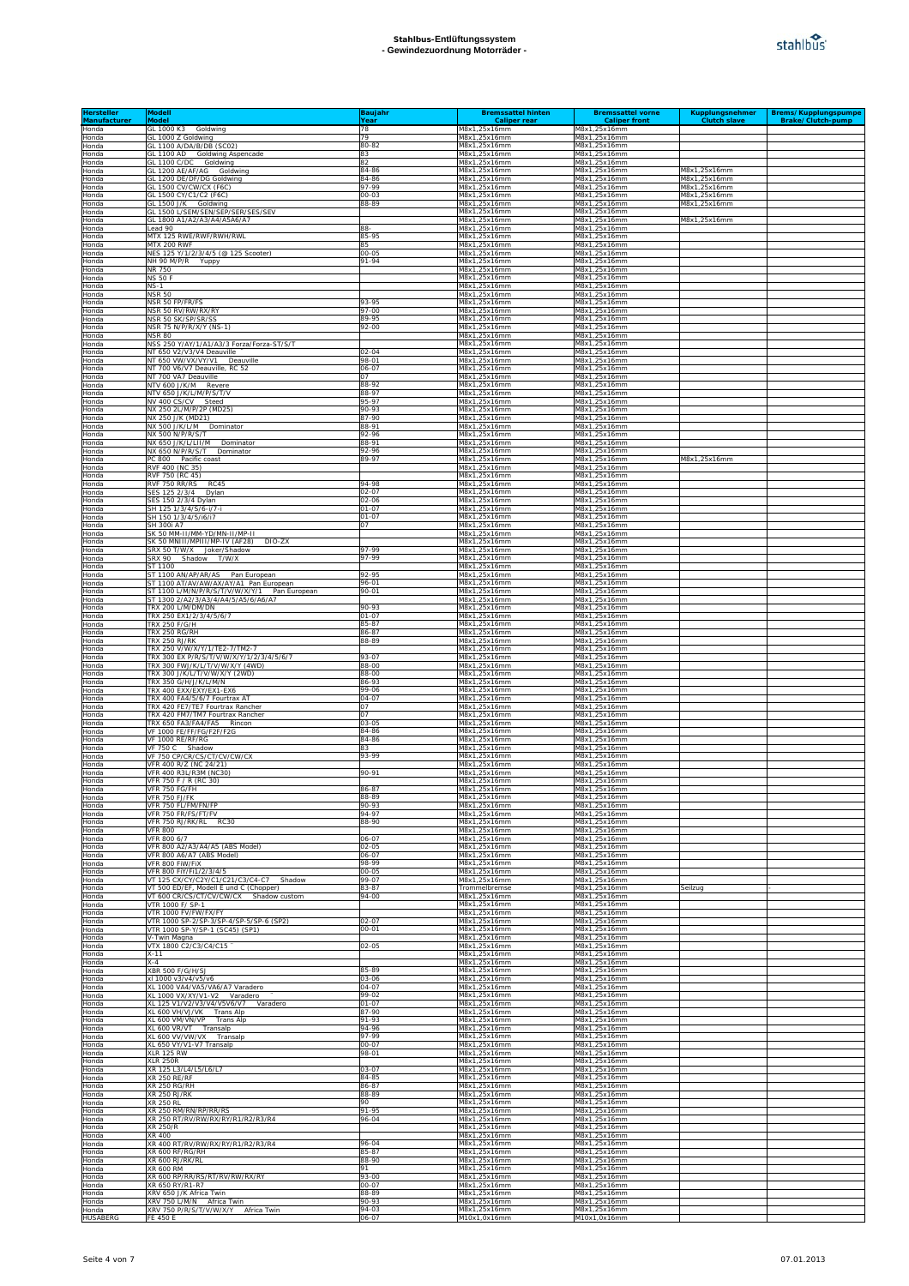

| <b>Hersteller</b> | Modell                                                                                 | Baujahr            | <b>Bremssattel hinten</b>      | <b>Bremssattel vorne</b>       | Kupplungsnehmer              | Brems/Kupplungspumpe |
|-------------------|----------------------------------------------------------------------------------------|--------------------|--------------------------------|--------------------------------|------------------------------|----------------------|
| Manufacturer      | Model                                                                                  | Year               | <b>Caliper rear</b>            | <b>Caliper front</b>           | <b>Clutch slave</b>          | Brake/Clutch-pump    |
| Honda<br>Honda    | GL 1000 K3<br>Goldwing<br>GL 1000 Z Goldwing                                           | 78<br>79           | M8x1,25x16mm<br>M8x1,25x16mm   | M8x1,25x16mm<br>M8x1,25x16mm   |                              |                      |
| Honda             | GL 1100 A/DA/B/DB (SC02)                                                               | 80-82              | M8x1,25x16mm                   | M8x1,25x16mm                   |                              |                      |
| Honda<br>Honda    | GL 1100 AD Goldwing Aspencade<br>GL 1100 C/DC Goldwing                                 | 33<br>82           | M8x1,25x16mm<br>M8x1,25x16mm   | M8x1,25x16mm<br>M8x1,25x16mm   |                              |                      |
| Honda<br>Honda    | GL 1200 AE/AF/AG<br>Goldwing<br>GL 1200 DE/DF/DG Goldwing                              | 34-86<br>84-86     | M8x1,25x16mm<br>M8x1,25x16mm   | M8x1,25x16mm<br>M8x1,25x16mm   | M8x1,25x16mm<br>M8x1,25x16mm |                      |
| Honda             | GL 1500 CV/CW/CX (F6C)                                                                 | 97-99<br>00-03     | M8x1,25x16mm<br>M8x1,25x16mm   | M8x1,25x16mm<br>M8x1,25x16mm   | M8x1,25x16mm<br>M8x1,25x16mm |                      |
| Honda<br>Honda    | GL 1500 CY/C1/C2 (F6C)<br>GL 1500 J/K Goldwing                                         | 88-89              | M8x1,25x16mm                   | M8x1,25x16mm                   | M8x1,25x16mm                 |                      |
| Honda<br>Honda    | GL 1500 L/SEM/SEN/SEP/SER/SES/SEV<br>GL 1800 A1/A2/A3/A4/A5A6/A7                       |                    | M8x1,25x16mm<br>M8x1,25x16mm   | M8x1,25x16mm<br>M8x1,25x16mm   | M8x1,25x16mm                 |                      |
| Honda             | Lead 90                                                                                | 88-<br>85-95       | M8x1,25x16mm<br>M8x1,25x16mm   | M8x1,25x16mm<br>M8x1,25x16mm   |                              |                      |
| Honda<br>Honda    | MTX 125 RWE/RWF/RWH/RWL<br>MTX 200 RWF                                                 | 85                 | M8x1,25x16mm                   | M8x1,25x16mm                   |                              |                      |
| Honda<br>Honda    | NES 125 Y/1/2/3/4/5 (@ 125 Scooter)<br>NH 90 M/P/R Yuppy                               | 00-05<br>91-94     | M8x1,25x16mm<br>M8x1,25x16mm   | M8x1,25x16mm<br>M8x1,25x16mm   |                              |                      |
| Honda             | <b>NR 750</b>                                                                          |                    | M8x1,25x16mm                   | M8x1,25x16mm                   |                              |                      |
| Honda<br>Honda    | <b>NS 50 F</b><br>NS-1                                                                 |                    | M8x1,25x16mm<br>M8x1,25x16mm   | M8x1,25x16mm<br>M8x1,25x16mm   |                              |                      |
| Honda<br>Honda    | <b>NSR 50</b><br>NSR 50 FP/FR/FS                                                       | 93-95              | M8x1,25x16mm<br>M8x1,25x16mm   | M8x1,25x16mm<br>M8x1,25x16mm   |                              |                      |
| Honda<br>Honda    | NSR 50 RV/RW/RX/RY<br>NSR 50 SK/SP/SR/SS                                               | 97-00<br>89-95     | M8x1,25x16mm<br>M8x1,25x16mm   | M8x1,25x16mm<br>M8x1,25x16mm   |                              |                      |
| Honda             | NSR 75 N/P/R/X/Y (NS-1)                                                                | 92-00              | M8x1,25x16mm                   | M8x1,25x16mm                   |                              |                      |
| Honda<br>Honda    | <b>NSR 80</b><br>NSS 250 Y/AY/1/A1/A3/3 Forza/Forza-ST/S/T                             |                    | M8x1,25x16mm<br>M8x1,25x16mm   | M8x1,25x16mm<br>M8x1,25x16mm   |                              |                      |
| Honda<br>Honda    | NT 650 V2/V3/V4 Deauville<br>NT 650 VW/VX/VY/V1 Deauville                              | $02 - 04$<br>98-01 | M8x1,25x16mm<br>M8x1,25x16mm   | M8x1,25x16mm<br>M8x1,25x16mm   |                              |                      |
| Honda             | NT 700 V6/V7 Deauville, RC 52                                                          | 06-07              | M8x1,25x16mm                   | M8x1,25x16mm                   |                              |                      |
| Honda<br>Honda    | NT 700 VA7 Deauville<br>NTV 600 J/K/M Revere                                           | 17<br>88-92        | M8x1,25x16mm<br>M8x1,25x16mm   | M8x1,25x16mm<br>M8x1,25x16mm   |                              |                      |
| Honda<br>Honda    | NTV 650 J/K/L/M/P/S/T/V<br>NV 400 CS/CV Steed                                          | 88-97<br>95-97     | M8x1,25x16mm<br>M8x1,25x16mm   | M8x1,25x16mm<br>M8x1,25x16mm   |                              |                      |
| Honda             | NX 250 2L/M/P/2P (MD25)                                                                | 90-93              | M8x1,25x16mm                   | M8x1,25x16mm                   |                              |                      |
| Honda<br>Honda    | NX 250 J/K (MD21)<br>NX 500 J/K/L/M Dominator                                          | 37-90<br>88-91     | M8x1,25x16mm<br>M8x1,25x16mm   | M8x1,25x16mm<br>M8x1,25x16mm   |                              |                      |
| Honda             | NX 500 N/P/R/S/T<br>NX 650 J/K/L/LII/M Dominator                                       | 92-96<br>88-91     | M8x1,25x16mm                   | M8x1,25x16mm                   |                              |                      |
| Honda<br>Honda    | NX 650 N/P/R/S/T Dominator                                                             | 92-96              | M8x1,25x16mm<br>M8x1,25x16mm   | M8x1,25x16mm<br>M8x1,25x16mm   |                              |                      |
| Honda<br>Honda    | PC 800 Pacific coast<br>RVF 400 (NC 35)                                                | 39-97              | M8x1,25x16mm<br>M8x1,25x16mm   | M8x1,25x16mm<br>M8x1,25x16mm   | M8x1,25x16mm                 |                      |
| Honda<br>Honda    | RVF 750 (RC 45)<br><b>RVF 750 RR/RS</b><br><b>RC45</b>                                 | 94-98              | M8x1,25x16mm<br>M8x1,25x16mm   | M8x1,25x16mm<br>M8x1,25x16mm   |                              |                      |
| Honda             | SES 125 2/3/4<br>Dylan                                                                 | 02-07              | M8x1,25x16mm                   | M8x1,25x16mm                   |                              |                      |
| Honda<br>Honda    | SES 150 2/3/4 Dylan<br>SH 125 1/3/4/S/6-i/7-i                                          | 02-06<br>$01 - 07$ | M8x1,25x16mm<br>M8x1,25x16mm   | M8x1,25x16mm<br>M8x1,25x16mm   |                              |                      |
| Honda             | SH 150 1/3/4/5/i6/i7                                                                   | $01 - 07$<br>07    | M8x1,25x16mm                   | M8x1,25x16mm                   |                              |                      |
| Honda<br>Honda    | SH 300i A7<br>SK 50 MM-II/MM-YD/MN-II/MP-II                                            |                    | M8x1,25x16mm<br>M8x1,25x16mm   | M8x1,25x16mm<br>M8x1,25x16mm   |                              |                      |
| Honda<br>Honda    | SK 50 MNIII/MPIII/MP-IV (AF28)<br>DIO-ZX<br>SRX 50 T/W/X Joker/Shadow                  | 97-99              | M8x1,25x16mm<br>M8x1,25x16mm   | M8x1,25x16mm<br>M8x1,25x16mm   |                              |                      |
| Honda             | Shadow T/W/X<br>SRX 90                                                                 | 97-99              | M8x1,25x16mm                   | M8x1,25x16mm                   |                              |                      |
| Honda<br>Honda    | ST 1100<br>ST 1100 AN/AP/AR/AS Pan European                                            | 92-95              | M8x1,25x16mm<br>M8x1,25x16mm   | M8x1,25x16mm<br>M8x1,25x16mm   |                              |                      |
| Honda<br>Honda    | ST 1100 AT/AV/AW/AX/AY/A1 Pan European<br>ST 1100 L/M/N/P/R/S/T/V/W/X/Y/1 Pan European | 96-01<br>90-01     | M8x1,25x16mm<br>M8x1,25x16mm   | M8x1,25x16mm<br>M8x1,25x16mm   |                              |                      |
| Honda             | ST 1300 2/A2/3/A3/4/A4/5/A5/6/A6/A7                                                    | 90-93              | M8x1,25x16mm                   | M8x1,25x16mm                   |                              |                      |
| Honda<br>Honda    | TRX 200 L/M/DM/DN<br>TRX 250 EX1/2/3/4/5/6/7                                           | 01-07              | M8x1,25x16mm<br>M8x1,25x16mm   | M8x1,25x16mm<br>M8x1,25x16mm   |                              |                      |
| Honda<br>Honda    | TRX 250 F/G/H<br><b>TRX 250 RG/RH</b>                                                  | 85-87<br>86-87     | M8x1,25x16mm<br>M8x1,25x16mm   | M8x1,25x16mm<br>M8x1,25x16mm   |                              |                      |
| Honda             | <b>TRX 250 RJ/RK</b>                                                                   | 88-89              | M8x1,25x16mm                   | M8x1,25x16mm                   |                              |                      |
| Honda<br>Honda    | TRX 250 V/W/X/Y/1/TE2-7/TM2-7<br>TRX 300 EX P/R/S/T/V/W/X/Y/1/2/3/4/5/6/7              | 93-07              | M8x1,25x16mm<br>M8x1,25x16mm   | M8x1,25x16mm<br>M8x1,25x16mm   |                              |                      |
| Honda<br>Honda    | TRX 300 FWJ/K/L/T/V/W/X/Y (4WD)<br>TRX 300 J/K/L/T/V/W/X/Y (2WD)                       | 38-00<br>88-00     | M8x1,25x16mm<br>M8x1,25x16mm   | M8x1,25x16mm<br>M8x1,25x16mm   |                              |                      |
| Honda             | TRX 350 G/H/J/K/L/M/N                                                                  | 86-93              | M8x1,25x16mm                   | M8x1,25x16mm                   |                              |                      |
| Honda<br>Honda    | TRX 400 EXX/EXY/EX1-EX6<br>TRX 400 FA4/5/6/7 Fourtrax AT                               | 99-06<br>04-07     | M8x1,25x16mm<br>M8x1,25x16mm   | M8x1,25x16mm<br>M8x1,25x16mm   |                              |                      |
| Honda<br>Honda    | TRX 420 FE7/TE7 Fourtrax Rancher<br>TRX 420 FM7/TM7 Fourtrax Rancher                   | )7<br>07           | M8x1,25x16mm<br>M8x1,25x16mm   | M8x1,25x16mm<br>M8x1,25x16mm   |                              |                      |
| Honda             | Rincon<br>TRX 650 FA3/FA4/FA5<br>VF 1000 FE/FF/FG/F2F/F2G                              | 03-05              | M8x1.25x16mm                   | M8x1.25x16mm<br>M8x1,25x16mm   |                              |                      |
| Honda<br>Honda    | VF 1000 RE/RF/RG                                                                       | 84-86<br>84-86     | M8x1,25x16mm<br>M8x1,25x16mm   | M8x1,25x16mm                   |                              |                      |
| Honda<br>Honda    | VF 750 C Shadow<br>VF 750 CP/CR/CS/CT/CV/CW/CX                                         | 93-99              | M8x1,25x16mm<br>M8x1,25x16mm   | M8x1,25x16mm<br>M8x1,25x16mm   |                              |                      |
| Honda<br>Honda    | VFR 400 R/Z (NC 24/21)<br>VFR 400 R3L/R3M (NC30)                                       | 90-91              | M8x1,25x16mm<br>M8x1,25x16mm   | M8x1,25x16mm<br>M8x1,25x16mm   |                              |                      |
| Honda             | VFR 750 F / R (RC 30)                                                                  |                    | M8x1,25x16mm                   | M8x1,25x16mm                   |                              |                      |
| Honda<br>Honda    | VFR 750 FG/FH<br><b>VFR 750 FJ/FK</b>                                                  | 50-15 J<br>B8-89   | 78X 1,25X 16mm<br>M8x1,25x16mm | M8X 1,25X 16MM<br>M8x1,25x16mm |                              |                      |
| Honda<br>Honda    | VFR 750 FL/FM/FN/FP<br>VFR 750 FR/FS/FT/FV                                             | 90-93<br>94-97     | M8x1.25x16mm<br>M8x1,25x16mm   | M8x1,25x16mm<br>M8x1,25x16mm   |                              |                      |
| Honda             | VFR 750 RJ/RK/RL RC30                                                                  | 88-90              | M8x1,25x16mm                   | M8x1,25x16mm                   |                              |                      |
| Honda<br>Honda    | <b>VFR 800</b><br>VFR 800 6/7                                                          | 06-07              | M8x1,25x16mm<br>M8x1,25x16mm   | M8x1,25x16mm<br>M8x1,25x16mm   |                              |                      |
| Honda<br>Honda    | VFR 800 A2/A3/A4/A5 (ABS Model)<br>VFR 800 A6/A7 (ABS Model)                           | 02-05<br>06-07     | M8x1,25x16mm<br>M8x1,25x16mm   | M8x1,25x16mm<br>M8x1,25x16mm   |                              |                      |
| Honda             | VFR 800 FIW/FIX                                                                        | 98-99              | M8x1,25x16mm                   | M8x1,25x16mm                   |                              |                      |
| Honda<br>Honda    | VFR 800 FIY/FI1/2/3/4/5<br>VT 125 CX/CY/C2Y/C1/C21/C3/C4-C7<br>Shadow                  | $0 - 05$<br>99-07  | M8x1,25x16mm<br>M8x1,25x16mm   | M8x1,25x16mm<br>M8x1,25x16mm   |                              |                      |
| Honda<br>Honda    | VT 500 ED/EF, Modell E und C (Chopper)<br>VT 600 CR/CS/CT/CV/CW/CX Shadow custom       | 83-87<br>94-00     | Trommelbremse<br>M8x1,25x16mm  | M8x1,25x16mm<br>M8x1,25x16mm   | Seilzug                      |                      |
| Honda             | VTR 1000 F/ SP-1                                                                       |                    | M8x1,25x16mm                   | M8x1,25x16mm                   |                              |                      |
| Honda<br>Honda    | VTR 1000 FV/FW/FX/FY<br>VTR 1000 SP-2/SP-3/SP-4/SP-5/SP-6 (SP2)                        | 02-07              | M8x1,25x16mm<br>M8x1,25x16mm   | M8x1,25x16mm<br>M8x1,25x16mm   |                              |                      |
| Honda<br>Honda    | VTR 1000 SP-Y/SP-1 (SC45) (SP1)<br>V-Twin Magna                                        | $00 - 01$          | M8x1,25x16mm<br>M8x1,25x16mm   | M8x1,25x16mm<br>M8x1,25x16mm   |                              |                      |
| Honda             | VTX 1800 C2/C3/C4/C15                                                                  | 02-05              | M8x1,25x16mm                   | M8x1,25x16mm                   |                              |                      |
| Honda<br>Honda    | $X-11$<br>$X-4$                                                                        |                    | M8x1,25x16mm<br>M8x1,25x16mm   | M8x1,25x16mm<br>M8x1,25x16mm   |                              |                      |
| Honda<br>Honda    | <b>XBR 500 F/G/H/SJ</b><br>xl 1000 v3/v4/v5/v6                                         | 85-89<br>03-06     | M8x1,25x16mm<br>M8x1,25x16mm   | M8x1,25x16mm<br>M8x1,25x16mm   |                              |                      |
| Honda             | XL 1000 VA4/VA5/VA6/A7 Varadero                                                        | $04 - 07$          | M8x1,25x16mm                   | M8x1,25x16mm                   |                              |                      |
| Honda<br>Honda    | XL 1000 VX/XY/V1-V2 Varadero<br>XL 125 V1/V2/V3/V4/V5V6/V7 Varadero                    | 99-02<br>$01 - 07$ | M8x1,25x16mm<br>M8x1,25x16mm   | M8x1,25x16mm<br>M8x1,25x16mm   |                              |                      |
| Honda<br>Honda    | XL 600 VH/VJ/VK Trans Alp<br>XL 600 VM/VN/VP Trans Alp                                 | 87-90<br>91-93     | M8x1,25x16mm<br>M8x1,25x16mm   | M8x1,25x16mm<br>M8x1,25x16mm   |                              |                      |
| Honda             | XL 600 VR/VT Transalp                                                                  | 94-96              | M8x1,25x16mm                   | M8x1,25x16mm                   |                              |                      |
| Honda<br>Honda    | XL 600 VV/VW/VX Transalp<br>XL 650 VY/V1-V7 Transalp                                   | 97-99<br>00-07     | M8x1,25x16mm<br>M8x1,25x16mm   | M8x1,25x16mm<br>M8x1,25x16mm   |                              |                      |
| Honda<br>Honda    | <b>XLR 125 RW</b><br><b>XLR 250R</b>                                                   | 98-01              | M8x1,25x16mm<br>M8x1,25x16mm   | M8x1,25x16mm<br>M8x1,25x16mm   |                              |                      |
| Honda             | XR 125 L3/L4/L5/L6/L7                                                                  | 03-07              | M8x1,25x16mm                   | M8x1,25x16mm                   |                              |                      |
| Honda<br>Honda    | <b>XR 250 RE/RF</b><br><b>XR 250 RG/RH</b>                                             | 84-85<br>86-87     | M8x1,25x16mm<br>M8x1,25x16mm   | M8x1,25x16mm<br>M8x1,25x16mm   |                              |                      |
| Honda<br>Honda    | <b>XR 250 RJ/RK</b><br><b>XR 250 RL</b>                                                | 88-89<br>90        | M8x1,25x16mm<br>M8x1,25x16mm   | M8x1,25x16mm<br>M8x1,25x16mm   |                              |                      |
| Honda             | XR 250 RM/RN/RP/RR/RS                                                                  | 91-95              | M8x1,25x16mm                   | M8x1,25x16mm                   |                              |                      |
| Honda<br>Honda    | XR 250 RT/RV/RW/RX/RY/R1/R2/R3/R4<br><b>XR 250/R</b>                                   | 96-04              | M8x1,25x16mm<br>M8x1,25x16mm   | M8x1.25x16mm<br>M8x1,25x16mm   |                              |                      |
| Honda<br>Honda    | XR 400<br>XR 400 RT/RV/RW/RX/RY/R1/R2/R3/R4                                            | 96-04              | M8x1,25x16mm<br>M8x1,25x16mm   | M8x1,25x16mm<br>M8x1,25x16mm   |                              |                      |
| Honda             | XR 600 RF/RG/RH                                                                        | 85-87              | M8x1,25x16mm                   | M8x1,25x16mm                   |                              |                      |
| Honda<br>Honda    | XR 600 RJ/RK/RL<br>XR 600 RM                                                           | 88-90<br>91        | M8x1,25x16mm<br>M8x1,25x16mm   | M8x1,25x16mm<br>M8x1,25x16mm   |                              |                      |
| Honda<br>Honda    | XR 600 RP/RR/RS/RT/RV/RW/RX/RY<br>XR 650 RY/R1-R7                                      | 93-00<br>00-07     | M8x1,25x16mm<br>M8x1,25x16mm   | M8x1,25x16mm<br>M8x1,25x16mm   |                              |                      |
| Honda             | XRV 650 J/K Africa Twin                                                                | 88-89              | M8x1,25x16mm                   | M8x1,25x16mm                   |                              |                      |
| Honda<br>Honda    | XRV 750 L/M/N Africa Twin<br>XRV 750 P/R/S/T/V/W/X/Y Africa Twin                       | 90-93<br>94-03     | M8x1,25x16mm<br>M8x1,25x16mm   | M8x1.25x16mm<br>M8x1,25x16mm   |                              |                      |
| HUSABERG          | FE 450 E                                                                               | 06-07              | M10x1,0x16mm                   | M10x1,0x16mm                   |                              |                      |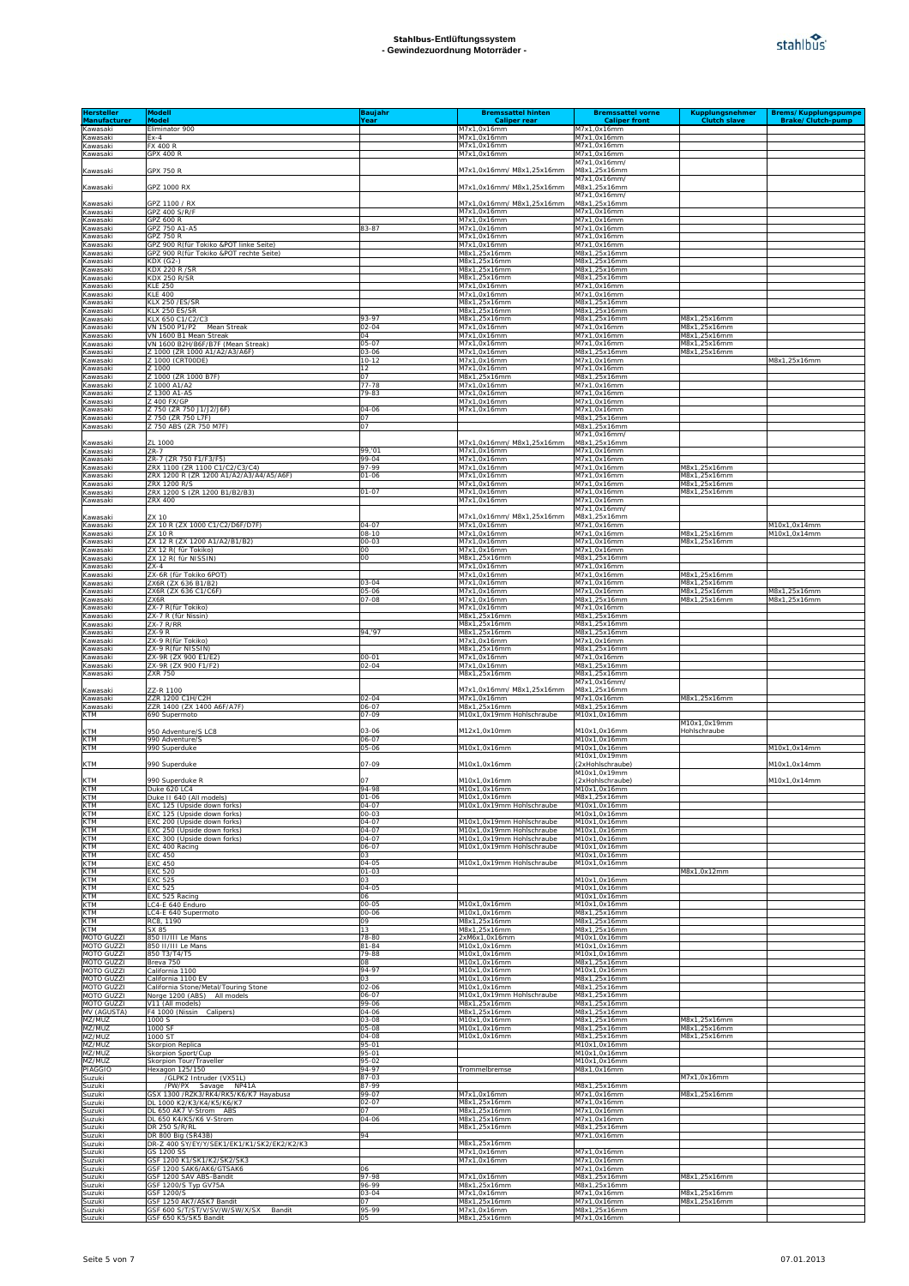

| <b>Hersteller</b><br><b>Manufacturer</b> | <b>Modell</b><br><b>Model</b>                                                                  | Baujahr<br>Year          | <b>Bremssattel hinten</b><br><b>Caliper rear</b>                                    | <b>Bremssattel vorne</b><br><b>Caliper front</b> | Kupplungsnehmer<br><b>Clutch slave</b>       | Brems/Kupplungspumpe<br>Brake/Clutch-pump |
|------------------------------------------|------------------------------------------------------------------------------------------------|--------------------------|-------------------------------------------------------------------------------------|--------------------------------------------------|----------------------------------------------|-------------------------------------------|
| Kawasaki<br>Kawasaki                     | Eliminator 900<br>$Ex-4$                                                                       |                          | M7x1,0x16mm<br>M7x1,0x16mm                                                          | M7x1,0x16mm<br>M7x1,0x16mm                       |                                              |                                           |
| Kawasaki<br>Kawasaki                     | FX 400 R<br>GPX 400 R                                                                          |                          | M7x1,0x16mm<br>M7x1,0x16mm                                                          | M7x1,0x16mm<br>M7x1,0x16mm                       |                                              |                                           |
| Kawasaki                                 | GPX 750 R                                                                                      |                          | M7x1,0x16mm/ M8x1,25x16mm                                                           | M7x1,0x16mm/<br>M8x1,25x16mm                     |                                              |                                           |
| Kawasaki                                 | GPZ 1000 RX                                                                                    |                          | M7x1,0x16mm/ M8x1,25x16mm                                                           | M7x1,0x16mm/<br>M8x1,25x16mm                     |                                              |                                           |
| Kawasaki                                 | GPZ 1100 / RX                                                                                  |                          | M7x1,0x16mm/ M8x1,25x16mm                                                           | M7x1,0x16mm/<br>M8x1,25x16mm                     |                                              |                                           |
| Kawasaki<br>Kawasaki                     | GPZ 400 S/R/F<br>GPZ 600 R                                                                     |                          | M7x1,0x16mm<br>M7x1,0x16mm                                                          | M7x1,0x16mm<br>M7x1,0x16mm                       |                                              |                                           |
| Kawasaki<br>Kawasaki                     | GPZ 750 A1-A5<br>GPZ 750 R                                                                     | 83-87                    | M7x1,0x16mm<br>M7x1,0x16mm<br>M7x1,0x16mm                                           | M7x1,0x16mm<br>M7x1,0x16mm<br>M7x1,0x16mm        |                                              |                                           |
| Kawasaki<br>Kawasaki<br>Kawasaki         | GPZ 900 R(für Tokiko &POT linke Seite)<br>GPZ 900 R(für Tokiko &POT rechte Seite)<br>KDX (G2-) |                          | M8x1,25x16mm<br>M8x1,25x16mm                                                        | M8x1,25x16mm<br>M8x1,25x16mm                     |                                              |                                           |
| Kawasaki<br>Kawasaki                     | KDX 220 R /SR<br><b>KDX 250 R/SR</b>                                                           |                          | M8x1,25x16mm<br>M8x1,25x16mm                                                        | M8x1,25x16mm<br>M8x1,25x16mm                     |                                              |                                           |
| Kawasaki<br>Kawasaki                     | <b>KLE 250</b><br><b>KLE 400</b>                                                               |                          | M7x1,0x16mm<br>M7x1,0x16mm                                                          | M7x1,0x16mm<br>M7x1,0x16mm                       |                                              |                                           |
| Kawasaki<br>Kawasaki                     | <b>KLX 250 /ES/SR</b><br>KLX 250 ES/SR                                                         |                          | M8x1,25x16mm<br>M8x1,25x16mm                                                        | M8x1,25x16mm<br>M8x1,25x16mm                     |                                              |                                           |
| Kawasaki<br>Kawasaki                     | KLX 650 C1/C2/C3<br>VN 1500 P1/P2 Mean Streak                                                  | 93-97<br>$02 - 04$       | M8x1,25x16mm<br>M7x1,0x16mm                                                         | M8x1,25x16mm<br>M7x1,0x16mm                      | M8x1,25x16mm<br>M8x1,25x16mm                 |                                           |
| Kawasaki<br>Kawasaki<br>Kawasaki         | VN 1600 B1 Mean Streak<br>VN 1600 B2H/B6F/B7F (Mean Streak)<br>Z 1000 (ZR 1000 A1/A2/A3/A6F)   | 04<br>05-07<br>03-06     | M7x1,0x16mm<br>M7x1,0x16mm<br>M7x1,0x16mm                                           | M7x1,0x16mm<br>M7x1,0x16mm<br>M8x1,25x16mm       | M8x1,25x16mm<br>M8x1,25x16mm<br>M8x1,25x16mm |                                           |
| Kawasaki<br>Kawasaki                     | Z 1000 (CRT00DE)<br>Z 1000                                                                     | 10-12<br>12              | M7x1,0x16mm<br>M7x1,0x16mm                                                          | M7x1,0x16mm<br>M7x1,0x16mm                       |                                              | M8x1,25x16mm                              |
| Kawasaki<br>Kawasaki                     | Z 1000 (ZR 1000 B7F)<br>Z 1000 A1/A2                                                           | 07<br>77-78              | M8x1,25x16mm<br>M7x1,0x16mm                                                         | M8x1,25x16mm<br>M7x1,0x16mm                      |                                              |                                           |
| Kawasaki<br>Kawasaki                     | Z 1300 A1-A5<br>Z 400 FX/GP                                                                    | 79-83                    | M7x1,0x16mm<br>M7x1,0x16mm                                                          | M7x1,0x16mm<br>M7x1,0x16mm                       |                                              |                                           |
| Kawasaki<br>Kawasaki                     | Z 750 (ZR 750 J1/J2/J6F)<br>Z 750 (ZR 750 L7F)                                                 | 04-06<br>07              | M7x1,0x16mm                                                                         | M7x1,0x16mm<br>M8x1,25x16mm                      |                                              |                                           |
| Kawasaki                                 | Z 750 ABS (ZR 750 M7F)                                                                         | 07                       |                                                                                     | M8x1,25x16mm<br>M7x1,0x16mm/                     |                                              |                                           |
| Kawasaki<br>Kawasaki<br>Kawasaki         | ZL 1000<br>$ZR-7$<br>ZR-7 (ZR 750 F1/F3/F5)                                                    | 99,'01<br>99-04          | M7x1,0x16mm/ M8x1,25x16mm<br>M7x1.0x16mm<br>M7x1,0x16mm                             | M8x1,25x16mm<br>M7x1,0x16mm<br>M7x1,0x16mm       |                                              |                                           |
| Kawasaki<br>Kawasaki                     | ZRX 1100 (ZR 1100 C1/C2/C3/C4)<br>ZRX 1200 R (ZR 1200 A1/A2/A3/A4/A5/A6F)                      | 97-99<br>01-06           | M7x1,0x16mm<br>M7x1,0x16mm                                                          | M7x1,0x16mm<br>M7x1,0x16mm                       | M8x1,25x16mm<br>M8x1,25x16mm                 |                                           |
| Kawasaki<br>Kawasaki                     | ZRX 1200 R/S<br>ZRX 1200 S (ZR 1200 B1/B2/B3)                                                  | $01 - 07$                | M7x1,0x16mm<br>M7x1,0x16mm                                                          | M7x1,0x16mm<br>M7x1,0x16mm                       | M8x1,25x16mm<br>M8x1,25x16mm                 |                                           |
| Kawasaki                                 | <b>ZRX 400</b>                                                                                 |                          | M7x1,0x16mm                                                                         | M7x1,0x16mm<br>M7x1,0x16mm/                      |                                              |                                           |
| Kawasaki<br>Kawasaki                     | ZX 10<br>ZX 10 R (ZX 1000 C1/C2/D6F/D7F)                                                       | 04-07                    | M7x1,0x16mm/ M8x1,25x16mm<br>M7x1,0x16mm                                            | M8x1,25x16mm<br>M7x1,0x16mm                      |                                              | M10x1,0x14mm                              |
| Kawasaki<br>Kawasaki                     | <b>ZX 10 R</b><br>ZX 12 R (ZX 1200 A1/A2/B1/B2)                                                | 08-10<br>00-03           | M7x1,0x16mm<br>M7x1,0x16mm                                                          | M7x1,0x16mm<br>M7x1,0x16mm                       | M8x1,25x16mm<br>M8x1,25x16mm                 | M10x1,0x14mm                              |
| Kawasaki<br>Kawasaki                     | ZX 12 R( für Tokiko)<br>ZX 12 R(für NISSIN)                                                    | 00<br>00                 | M7x1,0x16mm<br>M8x1,25x16mm                                                         | M7x1,0x16mm<br>M8x1,25x16mm                      |                                              |                                           |
| Kawasaki<br>Kawasaki                     | $ZX-4$<br>ZX-6R (für Tokiko 6POT)<br>ZX6R (ZX 636 B1/B2)                                       | 03-04                    | M7x1,0x16mm<br>M7x1,0x16mm<br>M7x1,0x16mm                                           | M7x1,0x16mm<br>M7x1,0x16mm<br>M7x1,0x16mm        | M8x1,25x16mm<br>M8x1,25x16mm                 |                                           |
| Kawasaki<br>Kawasaki<br>Kawasaki         | ZX6R (ZX 636 C1/C6F)<br>ZX6R                                                                   | 05-06<br>07-08           | M7x1,0x16mm<br>M7x1,0x16mm                                                          | M7x1,0x16mm<br>M8x1,25x16mm                      | M8x1,25x16mm<br>M8x1,25x16mm                 | M8x1,25x16mm<br>M8x1,25x16mm              |
| Kawasaki<br>Kawasaki                     | ZX-7 R(für Tokiko)<br>ZX-7 R (für Nissin)                                                      |                          | M7x1,0x16mm<br>M8x1,25x16mm                                                         | M7x1,0x16mm<br>M8x1,25x16mm                      |                                              |                                           |
| Kawasaki<br>Kawasaki                     | $ZX-7$ $R/RR$<br>$ZX-9R$                                                                       | 94,'97                   | M8x1,25x16mm<br>M8x1,25x16mm<br>M7x1,0x16mm                                         | M8x1,25x16mm<br>M8x1,25x16mm<br>M7x1,0x16mm      |                                              |                                           |
| Kawasaki<br>Kawasaki<br>Kawasaki         | ZX-9 R(für Tokiko)<br>ZX-9 R(für NISSIN)<br>ZX-9R (ZX 900 E1/E2)                               | $00 - 01$                | M8x1,25x16mm<br>M7x1,0x16mm                                                         | M8x1,25x16mm<br>M7x1,0x16mm                      |                                              |                                           |
| Kawasaki<br>Kawasaki                     | ZX-9R (ZX 900 F1/F2)<br>ZXR 750                                                                | 02-04                    | M7x1,0x16mm<br>M8x1,25x16mm                                                         | M8x1,25x16mm<br>M8x1,25x16mm                     |                                              |                                           |
| Kawasaki                                 | ZZ-R 1100                                                                                      |                          | M7x1,0x16mm/ M8x1,25x16mm                                                           | M7x1,0x16mm/<br>M8x1,25x16mm                     |                                              |                                           |
| Kawasaki<br>Kawasaki                     | 77R 1200 C1H/C2H<br>ZZR 1400 (ZX 1400 A6F/A7F)                                                 | $02 - 04$<br>06-07       | M7x1,0x16mm<br>M8x1,25x16mm                                                         | M7x1,0x16mm<br>M8x1,25x16mm                      | M8x1,25x16mm                                 |                                           |
| KTM                                      | 690 Supermoto                                                                                  | 07-09                    | M10x1,0x19mm Hohlschraube                                                           | M10x1,0x16mm                                     | 010x1,0x19mm<br>Hohlschraube                 |                                           |
| KTM<br>KTM<br>KTM                        | 950 Adventure/S LC8<br>990 Adventure/S<br>990 Superduke                                        | 03-06<br>06-07<br>05-06  | M12x1,0x10mm<br>M10x1,0x16mm                                                        | M10x1,0x16mm<br>M10x1,0x16mm<br>M10x1,0x16mm     |                                              | M10x1,0x14mm                              |
| KTM                                      | 990 Superduke                                                                                  | 07-09                    | M10x1,0x16mm                                                                        | M10x1,0x19mm<br>2xHohlschraube)                  |                                              | M10x1,0x14mm                              |
| KTM                                      | 990 Superduke R                                                                                | 07                       | M10x1,0x16mm                                                                        | M10x1,0x19mm<br>(2xHohlschraube)                 |                                              | M10x1.0x14mm                              |
| KTM<br>KTM                               | Duke 620 LC4<br>Duke II 640 (All models)                                                       | 94-98<br>01-06           | M10x1,0x16mm<br>M10x1.0x16mm                                                        | M10x1,0x16mm<br>M8x1,25x16mm                     |                                              |                                           |
| <b>KTM</b><br>KTM                        | EXC 125 (Upside down forks)<br>EXC 125 (Upside down forks)                                     | 04-07<br>00-03           | M10x1,0x19mm Hohlschraube                                                           | M10x1,0x16mm<br>M10x1,0x16mm                     |                                              |                                           |
| KTM<br><b>KTM</b><br>KTM                 | EXC 200 (Upside down forks)<br>EXC 250 (Upside down forks)<br>EXC 300 (Upside down forks)      | 04-07<br>04-07<br>04-07  | M10x1,0x19mm Hohlschraube<br>M10x1,0x19mm Hohlschraube<br>M10x1,0x19mm Hohlschraube | M10x1,0x16mm<br>M10x1,0x16mm<br>M10x1,0x16mm     |                                              |                                           |
| <b>CTM</b><br>KTM                        | EXC 400 Racing<br><b>EXC 450</b>                                                               | 06-07<br>03              | M10x1,0x19mm Hohlschraube                                                           | M10x1,0x16mm<br>M10x1,0x16mm                     |                                              |                                           |
| KTM<br><b>KTM</b>                        | <b>EXC 450</b><br><b>EXC 520</b>                                                               | 04-05<br>$01 - 03$       | M10x1,0x19mm Hohlschraube                                                           | M10x1,0x16mm                                     | M8x1,0x12mm                                  |                                           |
| KTM<br><b>KTM</b>                        | <b>EXC 525</b><br><b>EXC 525</b>                                                               | 03<br>04-05              |                                                                                     | M10x1,0x16mm<br>M10x1,0x16mm                     |                                              |                                           |
| KTM<br>KTM                               | EXC 525 Racing<br>LC4-E 640 Enduro                                                             | 06<br>$00 - 05$          | M10x1.0x16mm                                                                        | M10x1,0x16mm<br>M10x1,0x16mm                     |                                              |                                           |
| KTM<br>KTM<br>KTM                        | LC4-E 640 Supermoto<br>RC8, 1190<br>SX 85                                                      | 00-06<br>09<br>13        | M10x1,0x16mm<br>M8x1,25x16mm<br>M8x1,25x16mm                                        | M8x1,25x16mm<br>M8x1,25x16mm<br>M8x1,25x16mm     |                                              |                                           |
| MOTO GUZZI<br>MOTO GUZZI                 | 850 II/III Le Mans<br>850 II/III Le Mans                                                       | 78-80<br>81-84           | 2xM6x1,0x16mm<br>M10x1.0x16mm                                                       | M10x1,0x16mm<br>M10x1,0x16mm                     |                                              |                                           |
| MOTO GUZZI<br>MOTO GUZZI                 | 850 T3/T4/T5<br>Breva 750                                                                      | 79-88<br>08              | M10x1,0x16mm<br>M10x1,0x16mm                                                        | M10x1,0x16mm<br>M8x1,25x16mm                     |                                              |                                           |
| MOTO GUZZI<br>MOTO GUZZI<br>MOTO GUZZI   | California 1100<br>California 1100 EV<br>California Stone/Metal/Touring Stone                  | 94-97<br>03<br>$02 - 06$ | M10x1,0x16mm<br>M10x1,0x16mm<br>M10x1,0x16mm                                        | M10x1,0x16mm<br>M8x1,25x16mm<br>M8x1,25x16mm     |                                              |                                           |
| MOTO GUZZI<br>MOTO GUZZI                 | Norge 1200 (ABS) All models<br>V11 (All models)                                                | 06-07<br>99-06           | M10x1,0x19mm Hohlschraube<br>M8x1,25x16mm                                           | M8x1,25x16mm<br>M8x1,25x16mm                     |                                              |                                           |
| MV (AGUSTA)<br>MZ/MUZ<br>MZ/MUZ          | F4 1000 (Nissin Calipers)<br>1000 S<br>1000 SF                                                 | 04-06<br>03-08<br>05-08  | M8x1,25x16mm<br>M10x1,0x16mm<br>M10x1,0x16mm                                        | M8x1,25x16mm<br>M8x1,25x16mm<br>M8x1,25x16mm     | M8x1,25x16mm<br>M8x1,25x16mm                 |                                           |
| MZ/MUZ<br>MZ/MUZ                         | 1000 ST<br>Skorpion Replica                                                                    | 04-08<br>95-01           | M10x1,0x16mm                                                                        | M8x1,25x16mm<br>M10x1,0x16mm                     | M8x1,25x16mm                                 |                                           |
| MZ/MUZ<br>MZ/MUZ                         | Skorpion Sport/Cup<br>Skorpion Tour/Traveller                                                  | 95-01<br>95-02           |                                                                                     | M10x1,0x16mm<br>M10x1,0x16mm                     |                                              |                                           |
| PIAGGIO<br>Suzuki                        | Hexagon 125/150<br>/GLPK2 Intruder (VX51L)                                                     | 94-97<br>87-03           | Trommelbremse                                                                       | M8x1,0x16mm                                      | M7x1,0x16mm                                  |                                           |
| Suzuki<br>Suzuki                         | /PW/PX Savage NP41A<br>GSX 1300 /RZK3/RK4/RK5/K6/K7 Hayabusa                                   | 87-99<br>99-07           | M7x1,0x16mm                                                                         | M8x1,25x16mm<br>M7x1,0x16mm                      | M8x1,25x16mm                                 |                                           |
| Suzuki<br>Suzuki                         | DL 1000 K2/K3/K4/K5/K6/K7<br>DL 650 AK7 V-Strom ABS                                            | 02-07<br>07              | M8x1,25x16mm<br>M8x1,25x16mm                                                        | M7x1,0x16mm<br>M7x1,0x16mm                       |                                              |                                           |
| Suzuki<br>Suzuki<br>Suzuki               | DL 650 K4/K5/K6 V-Strom<br>DR 250 S/R/RL<br>DR 800 Big (SR43B)                                 | 04-06<br>94              | M8x1,25x16mm<br>M8x1,25x16mm                                                        | M7x1,0x16mm<br>M8x1,25x16mm<br>M7x1,0x16mm       |                                              |                                           |
| Suzuki<br>Suzuki                         | DR-Z 400 SY/EY/Y/SEK1/EK1/K1/SK2/EK2/K2/K3<br>GS 1200 SS                                       |                          | M8x1,25x16mm<br>M7x1,0x16mm                                                         | M7x1,0x16mm                                      |                                              |                                           |
| Suzuki<br>Suzuki                         | GSF 1200 K1/SK1/K2/SK2/SK3<br>GSF 1200 SAK6/AK6/GTSAK6                                         | 06                       | M7x1,0x16mm                                                                         | M7x1,0x16mm<br>M7x1,0x16mm                       |                                              |                                           |
| Suzuki<br>Suzuki                         | GSF 1200 SAV ABS-Bandit<br>GSF 1200/S Typ GV75A                                                | 97-98<br>96-99           | M7x1,0x16mm<br>M8x1,25x16mm                                                         | M8x1,25x16mm<br>M8x1,25x16mm                     | M8x1,25x16mm                                 |                                           |
| Suzuki<br>Suzuki                         | GSF 1200/S<br>GSF 1250 AK7/ASK7 Bandit                                                         | 03-04<br>07              | M7x1,0x16mm<br>M8x1,25x16mm                                                         | M7x1,0x16mm<br>M7x1,0x16mm                       | M8x1.25x16mm<br>M8x1,25x16mm                 |                                           |
| Suzuki<br>Suzuki                         | GSF 600 S/T/ST/V/SV/W/SW/X/SX<br>Bandit<br>GSF 650 K5/SK5 Bandit                               | 95-99<br>05              | M7x1,0x16mm<br>M8x1,25x16mm                                                         | M8x1,25x16mm<br>M7x1,0x16mm                      |                                              |                                           |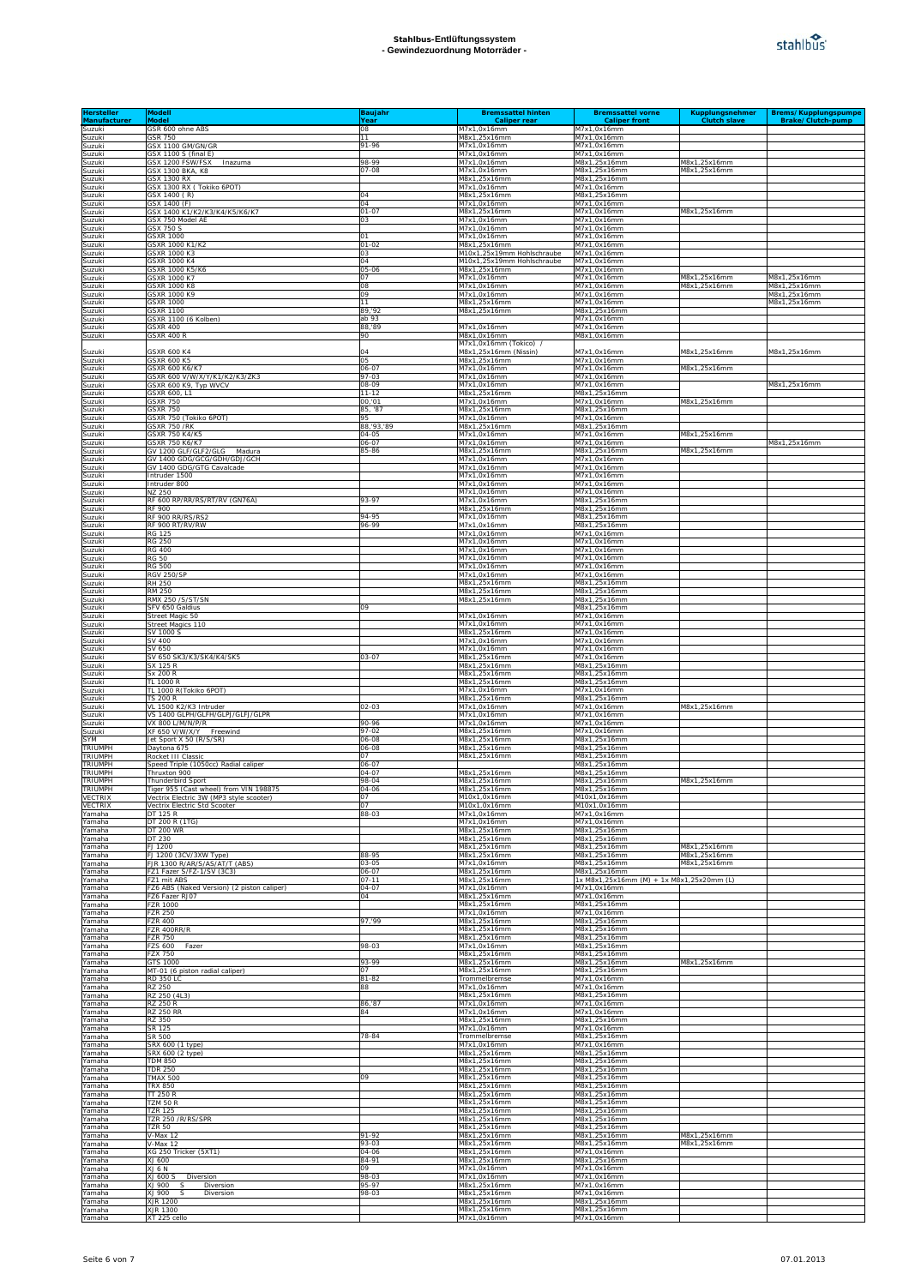

| <b>Hersteller</b>         | <b>Modell</b>                                                           | Baujahr            | <b>Bremssattel hinten</b>                                | <b>Bremssattel vorne</b>                                 | <b>Kupplungsnehmer</b>       | Brems/Kupplungspumpe         |
|---------------------------|-------------------------------------------------------------------------|--------------------|----------------------------------------------------------|----------------------------------------------------------|------------------------------|------------------------------|
| Manufacturer<br>Suzuki    | <b>Mode</b><br>GSR 600 ohne ABS                                         | Year<br>08         | <b>Caliper rear</b><br>M7x1,0x16mm                       | <b>Caliper front</b><br>M7x1,0x16mm                      | <b>Clutch slave</b>          | Brake/Clutch-pump            |
| Suzuki<br>Suzuki          | <b>GSR 750</b><br>GSX 1100 GM/GN/GR                                     | 11<br>91-96        | M8x1,25x16mm<br>M7x1,0x16mm                              | $\overline{M7x}$ 1,0x16mm<br>M7x1,0x16mm                 |                              |                              |
| Suzuki<br>Suzuki          | GSX 1100 S (final E)<br>GSX 1200 FSW/FSX<br>Inazuma                     | 98-99              | M7x1,0x16mm<br>M7x1,0x16mm                               | M7x1,0x16mm<br>M8x1,25x16mm                              | M8x1,25x16mm                 |                              |
| Suzuki<br>Suzuki          | GSX 1300 BKA, K8<br><b>GSX 1300 RX</b>                                  | 07-08              | M7x1,0x16mm<br>M8x1,25x16mm                              | M8x1,25x16mm<br>M8x1,25x16mm                             | M8x1,25x16mm                 |                              |
| Suzuki<br>Suzuki          | GSX 1300 RX (Tokiko 6POT)<br>GSX 1400 (R)                               | 04                 | M7x1,0x16mm<br>M8x1,25x16mm                              | M7x1,0x16mm<br>M8x1,25x16mm                              |                              |                              |
| Suzuki<br>Suzuki          | GSX 1400 (F)<br>GSX 1400 K1/K2/K3/K4/K5/K6/K7                           | 04<br>$01 - 07$    | M7x1,0x16mm<br>M8x1,25x16mm                              | M7x1,0x16mm<br>M7x1,0x16mm                               | M8x1,25x16mm                 |                              |
| Suzuki<br>Suzuki          | GSX 750 Model AE<br>GSX 750 S                                           | 03                 | M7x1,0x16mm<br>M7x1,0x16mm                               | M7x1,0x16mm<br>M7x1,0x16mm                               |                              |                              |
| Suzuki<br>Suzuki          | GSXR 1000<br>GSXR 1000 K1/K2                                            | 01<br>$01 - 02$    | M7x1,0x16mm<br>M8x1,25x16mm                              | M7x1,0x16mm<br>M7x1,0x16mm                               |                              |                              |
| Suzuki<br>Suzuki          | GSXR 1000 K3<br>GSXR 1000 K4                                            | 03<br>04           | M10x1,25x19mm Hohlschraube<br>M10x1,25x19mm Hohlschraube | M7x1,0x16mm<br>M7x1,0x16mm                               |                              |                              |
| Suzuki<br>Suzuki          | GSXR 1000 K5/K6<br>GSXR 1000 K7                                         | 05-06<br>07        | M8x1,25x16mm<br>M7x1,0x16mm                              | M7x1,0x16mm<br>M7x1,0x16mm                               | M8x1,25x16mm                 | M8x1,25x16mm                 |
| Suzuki<br>Suzuki          | GSXR 1000 K8<br>GSXR 1000 K9                                            | 08<br>09           | M7x1,0x16mm<br>M7x1,0x16mm                               | M7x1.0x16mm<br>M7x1,0x16mm                               | M8x1,25x16mm                 | M8x1,25x16mm<br>M8x1,25x16mm |
| Suzuki<br>Suzuki          | <b>GSXR 1000</b><br><b>GSXR 1100</b>                                    | 11<br>89,'92       | M8x1,25x16mm<br>M8x1,25x16mm                             | M7x1,0x16mm<br>M8x1,25x16mm                              |                              | M8x1,25x16mm                 |
| Suzuki<br>Suzuki          | GSXR 1100 (6 Kolben)<br><b>GSXR 400</b>                                 | ab 93<br>88,'89    | M7x1,0x16mm                                              | M7x1.0x16mm<br>M7x1,0x16mm                               |                              |                              |
| Suzuki                    | <b>GSXR 400 R</b>                                                       | 90                 | M8x1,0x16mm<br>M7x1,0x16mm (Tokico) /                    | M8x1,0x16mm                                              |                              |                              |
| Suzuki<br>Suzuki          | GSXR 600 K4<br>GSXR 600 K5                                              | 04<br>05           | M8x1,25x16mm (Nissin)<br>M8x1,25x16mm                    | M7x1,0x16mm<br>M7x1,0x16mm                               | M8x1,25x16mm                 | M8x1,25x16mm                 |
| Suzuki<br>Suzuki          | GSXR 600 K6/K7<br>GSXR 600 V/W/X/Y/K1/K2/K3/ZK3                         | 06-07<br>97-03     | M7x1,0x16mm<br>M7x1,0x16mm                               | M7x1,0x16mm<br>M7x1,0x16mm                               | M8x1,25x16mm                 |                              |
| Suzuki<br>Suzuki          | GSXR 600 K9, Typ WVCV<br>GSXR 600, L1                                   | 08-09<br>$11 - 12$ | M7x1,0x16mm<br>M8x1,25x16mm                              | M7x1,0x16mm<br>M8x1,25x16mm                              |                              | M8x1,25x16mm                 |
| Suzuki<br>Suzuki          | <b>GSXR 750</b><br><b>GSXR 750</b>                                      | 00,'01<br>85, '87  | M7x1,0x16mm<br>M8x1,25x16mm                              | M7x1.0x16mm<br>M8x1,25x16mm                              | M8x1,25x16mm                 |                              |
| Suzuki<br>Suzuki          | GSXR 750 (Tokiko 6POT)<br><b>GSXR 750 /RK</b>                           | 95<br>88, '93, '89 | M7x1,0x16mm<br>M8x1,25x16mm                              | M7x1,0x16mm<br>M8x1,25x16mm                              |                              |                              |
| Suzuki<br>Suzuki          | <b>GSXR 750 K4/K5</b><br>GSXR 750 K6/K7                                 | 04-05<br>06-07     | M7x1,0x16mm<br>M7x1,0x16mm                               | M7x1,0x16mm<br>M7x1,0x16mm                               | M8x1,25x16mm                 | M8x1,25x16mm                 |
| Suzuki<br>Suzuki          | GV 1200 GLF/GLF2/GLG<br>Madura<br>GV 1400 GDG/GCG/GDH/GDJ/GCH           | 85-86              | M8x1,25x16mm<br>M7x1,0x16mm                              | M8x1,25x16mm<br>M7x1,0x16mm                              | M8x1,25x16mm                 |                              |
| Suzuki<br>Suzuki          | GV 1400 GDG/GTG Cavalcade<br>Intruder 1500                              |                    | M7x1,0x16mm<br>M7x1,0x16mm                               | M7x1,0x16mm<br>M7x1,0x16mm                               |                              |                              |
| Suzuki<br>Suzuki          | Intruder 800<br><b>NZ 250</b>                                           |                    | M7x1,0x16mm<br>M7x1.0x16mm                               | M7x1,0x16mm<br>M7x1.0x16mm                               |                              |                              |
| Suzuki<br>Suzuki          | RF 600 RP/RR/RS/RT/RV (GN76A)<br>RF 900                                 | 93-97              | M7x1,0x16mm<br>M8x1,25x16mm                              | M8x1,25x16mm<br>M8x1,25x16mm                             |                              |                              |
| Suzuki<br>Suzuki          | RF 900 RR/RS/RS2<br>RF 900 RT/RV/RW                                     | 94-95<br>96-99     | M7x1,0x16mm<br>M7x1,0x16mm                               | M8x1,25x16mm<br>M8x1,25x16mm                             |                              |                              |
| Suzuki<br>Suzuki          | <b>RG 125</b><br><b>RG 250</b>                                          |                    | M7x1,0x16mm<br>M7x1,0x16mm                               | M7x1,0x16mm<br>M7x1,0x16mm                               |                              |                              |
| Suzuki<br>Suzuki          | <b>RG 400</b><br><b>RG 50</b>                                           |                    | M7x1,0x16mm<br>M7x1,0x16mm                               | $\overline{\text{M7x}}$ 1,0x16mm<br>M7x1,0x16mm          |                              |                              |
| Suzuki<br>Suzuki          | <b>RG 500</b><br><b>RGV 250/SP</b>                                      |                    | M7x1,0x16mm<br>M7x1.0x16mm                               | M7x1,0x16mm<br>M7x1.0x16mm                               |                              |                              |
| Suzuki<br>Suzuki          | <b>RH 250</b><br><b>RM 250</b>                                          |                    | M8x1,25x16mm<br>M8x1,25x16mm                             | M8x1,25x16mm<br>M8x1,25x16mm                             |                              |                              |
| Suzuki<br>Suzuki          | RMX 250 /S/ST/SN<br>SFV 650 Galdius                                     | 09                 | M8x1,25x16mm                                             | M8x1,25x16mm<br>M8x1,25x16mm                             |                              |                              |
| Suzuki<br>Suzuki          | Street Magic 50<br>Street Magics 110                                    |                    | M7x1,0x16mm<br>M7x1,0x16mm                               | M7x1,0x16mm<br>M7x1,0x16mm                               |                              |                              |
| Suzuki<br>Suzuki          | SV 1000 S<br>SV 400                                                     |                    | M8x1,25x16mm<br>M7x1,0x16mm                              | $\overline{\text{M7x}}$ 1,0x16mm<br>M7x1,0x16mm          |                              |                              |
| Suzuki<br>Suzuki          | SV 650<br>SV 650 SK3/K3/SK4/K4/SK5                                      | 03-07              | M7x1,0x16mm<br>M8x1.25x16mm                              | M7x1,0x16mm<br>M7x1.0x16mm                               |                              |                              |
| Suzuki<br>Suzuki          | SX 125 R<br>Sx 200 R                                                    |                    | M8x1,25x16mm<br>M8x1,25x16mm                             | M8x1,25x16mm<br>M8x1,25x16mm                             |                              |                              |
| Suzuki<br>Suzuki          | TL 1000 R<br>TL 1000 R(Tokiko 6POT)                                     |                    | M8x1,25x16mm<br>M7x1,0x16mm                              | M8x1,25x16mm<br>M7x1,0x16mm                              |                              |                              |
| Suzuki<br>Suzuki          | <b>TS 200 R</b><br>VL 1500 K2/K3 Intruder                               | 02-03              | M8x1,25x16mm<br>M7x1,0x16mm                              | M8x1,25x16mm<br>M7x1,0x16mm                              | M8x1,25x16mm                 |                              |
| Suzuki<br>Suzuki          | VS 1400 GLPH/GLFH/GLPJ/GLFJ/GLPR<br>VX 800 L/M/N/P/R                    | 90-96              | $\overline{\text{M7}}$ x1,0x16mm<br>M7x1,0x16mm          | $\overline{\text{M7x}}$ 1,0x16mm<br>M7x1,0x16mm          |                              |                              |
| Suzuki<br>SYM             | XF 650 V/W/X/Y Freewind<br>Jet Sport X 50 (R/S/SR)                      | 97-02<br>06-08     | M8x1,25x16mm<br>M8x1,25x16mm                             | M7x1,0x16mm<br>M8x1.25x16mm                              |                              |                              |
| <b>TRIUMPH</b><br>TRIUMPH | Daytona 675<br>Rocket III Classic                                       | 06-08<br>07        | M8x1,25x16mm<br>M8x1,25x16mm                             | M8x1,25x16mm<br>M8x1,25x16mm                             |                              |                              |
| TRIUMPH<br>TRIUMPH        | Speed Triple (1050cc) Radial caliper<br>Thruxton 900                    | 06-07<br>04-07     | M8x1,25x16mm                                             | M8x1,25x16mm<br>M8x1,25x16mm                             |                              |                              |
| <b>TRIUMPH</b><br>TRIUMPH | Thunderbird Sport<br>Tiger 955 (Cast wheel) from VIN 1988               | 98-04              | M8x1,25x16mm                                             | M8x1.25x16mm<br>M8x1,25x16ı                              | M8x1,25x16mm                 |                              |
| VECTRIX<br><b>VECTRIX</b> | Vectrix Electric 3W (MP3 style scooter)<br>Vectrix Electric Std Scooter | 07<br>07           | M10x1,0x16mm<br>M10x1,0x16mm                             | M10x1,0x16mm<br>M10x1,0x16mm                             |                              |                              |
| Yamaha<br>Yamaha          | DT 125 R<br>DT 200 R (1TG)                                              | 88-03              | M7x1,0x16mm<br>M7x1,0x16mm                               | M7x1,0x16mm<br>M7x1,0x16mm                               |                              |                              |
| Yamaha<br>Yamaha          | DT 200 WR<br>DT 230                                                     |                    | M8x1,25x16mm<br>M8x1,25x16mm                             | M8x1,25x16mm<br>M8x1,25x16mm                             |                              |                              |
| Yamaha<br>Yamaha          | FJ 1200<br>FJ 1200 (3CV/3XW Type)                                       | 88-95              | M8x1,25x16mm<br>M8x1,25x16mm                             | M8x1,25x16mm<br>M8x1,25x16mm                             | M8x1,25x16mm<br>M8x1,25x16mm |                              |
| Yamaha<br>Yamaha          | FJR 1300 R/AR/S/AS/AT/T (ABS)<br>FZ1 Fazer S/FZ-1/SV (3C3)              | 03-05<br>06-07     | M7x1,0x16mm<br>M8x1,25x16mm                              | M8x1,25x16mm<br>M8x1,25x16mm                             | M8x1,25x16mm                 |                              |
| Yamaha<br>Yamaha          | FZ1 mit ABS<br>FZ6 ABS (Naked Version) (2 piston caliper)               | 07-11<br>04-07     | M8x1,25x16mm<br>M7x1,0x16mm                              | 1x M8x1,25x16mm (M) + 1x M8x1,25x20mm (L)<br>M7x1,0x16mm |                              |                              |
| Yamaha<br>Yamaha          | FZ6 Fazer RJ07<br><b>FZR 1000</b>                                       | 04                 | M8x1,25x16mm<br>M8x1,25x16mm                             | M7x1,0x16mm<br>M8x1,25x16mm                              |                              |                              |
| Yamaha<br>Yamaha          | <b>FZR 250</b><br><b>FZR 400</b>                                        | 97,'99             | M7x1,0x16mm<br>M8x1,25x16mm                              | M7x1,0x16mm<br>M8x1,25x16mm                              |                              |                              |
| Yamaha<br>Yamaha          | FZR 400RR/R<br>FZR 750                                                  |                    | M8x1,25x16mm<br>M8x1,25x16mm                             | M8x1,25x16mm<br>M8x1,25x16mm                             |                              |                              |
| Yamaha<br>Yamaha          | <b>FZS 600</b><br>Fazer<br><b>FZX 750</b>                               | 98-03              | M7x1,0x16mm<br>M8x1,25x16mm                              | M8x1,25x16mm<br>M8x1,25x16mm                             |                              |                              |
| Yamaha<br>Yamaha          | GTS 1000<br>MT-01 (6 piston radial caliper)                             | 93-99<br>07        | M8x1,25x16mm<br>M8x1,25x16mm                             | M8x1,25x16mm<br>M8x1,25x16mm                             | M8x1,25x16mm                 |                              |
| Yamaha<br>Yamaha          | RD 350 LC<br>RZ 250                                                     | 81-82<br>88        | Trommelbremse<br>M7x1.0x16mm                             | M7x1,0x16mm<br>M7x1.0x16mm                               |                              |                              |
| Yamaha<br>Yamaha          | RZ 250 (4L3)<br>RZ 250 R                                                | 86,'87             | M8x1,25x16mm<br>M7x1,0x16mm                              | M8x1,25x16mm<br>M7x1,0x16mm                              |                              |                              |
| Yamaha<br>Yamaha          | <b>RZ 250 RR</b><br>RZ 350                                              | 84                 | M7x1,0x16mm<br>M8x1,25x16mm                              | M7x1,0x16mm<br>M8x1,25x16mm                              |                              |                              |
| Yamaha<br>Yamaha          | SR 125<br>SR 500                                                        | 78-84              | M7x1,0x16mm<br>Trommelbremse                             | M7x1,0x16mm<br>M8x1,25x16mm                              |                              |                              |
| Yamaha<br>Yamaha          | SRX 600 (1 type)<br>SRX 600 (2 type)                                    |                    | M7x1,0x16mm<br>M8x1,25x16mm                              | M7x1,0x16mm<br>M8x1,25x16mm                              |                              |                              |
| Yamaha<br>Yamaha          | <b>TDM 850</b><br><b>TDR 250</b>                                        |                    | M8x1,25x16mm<br>M8x1,25x16mm                             | M8x1,25x16mm<br>M8x1.25x16mm                             |                              |                              |
| Yamaha<br>Yamaha          | <b>TMAX 500</b><br>TRX 850                                              | 09                 | M8x1,25x16mm<br>M8x1,25x16mm                             | M8x1,25x16mm<br>M8x1,25x16mm                             |                              |                              |
| Yamaha<br>Yamaha          | TT 250 R<br><b>TZM 50 R</b>                                             |                    | M8x1,25x16mm<br>M8x1,25x16mm                             | M8x1,25x16mm<br>M8x1,25x16mm                             |                              |                              |
| Yamaha<br>Yamaha          | <b>TZR 125</b><br>TZR 250 /R/RS/SPR                                     |                    | M8x1,25x16mm<br>M8x1,25x16mm                             | M8x1,25x16mm<br>M8x1,25x16mm                             |                              |                              |
| Yamaha<br>Yamaha          | <b>TZR 50</b><br>$V$ -Max 12                                            | 91-92              | M8x1,25x16mm<br>M8x1,25x16mm                             | M8x1,25x16mm<br>M8x1,25x16mm                             | M8x1,25x16mm                 |                              |
| Yamaha<br>Yamaha          | $V$ -Max 12<br>XG 250 Tricker (5XT1)                                    | 93-03<br>04-06     | M8x1,25x16mm<br>M8x1,25x16mm                             | M8x1,25x16mm<br>M7x1,0x16mm                              | M8x1,25x16mm                 |                              |
| Yamaha<br>Yamaha          | XJ 600<br>XJ 6 N                                                        | 84-91<br>09        | M8x1,25x16mm<br>M7x1,0x16mm                              | M8x1,25x16mm<br>M7x1,0x16mm                              |                              |                              |
| Yamaha<br>Yamaha          | XJ 600 S<br>Diversion<br>XJ 900<br>s<br>Diversion                       | 98-03<br>95-97     | M7x1,0x16mm<br>M8x1,25x16mm                              | M7x1,0x16mm<br>M7x1,0x16mm                               |                              |                              |
| Yamaha<br>Yamaha          | XJ 900<br>s<br>Diversion<br><b>XJR 1200</b>                             | 98-03              | M8x1,25x16mm<br>M8x1,25x16mm                             | M7x1,0x16mm<br>M8x1,25x16mm                              |                              |                              |
| Yamaha<br>Yamaha          | XJR 1300<br>XT 225 cello                                                |                    | M8x1,25x16mm<br>M7x1,0x16mm                              | M8x1,25x16mm<br>M7x1,0x16mm                              |                              |                              |